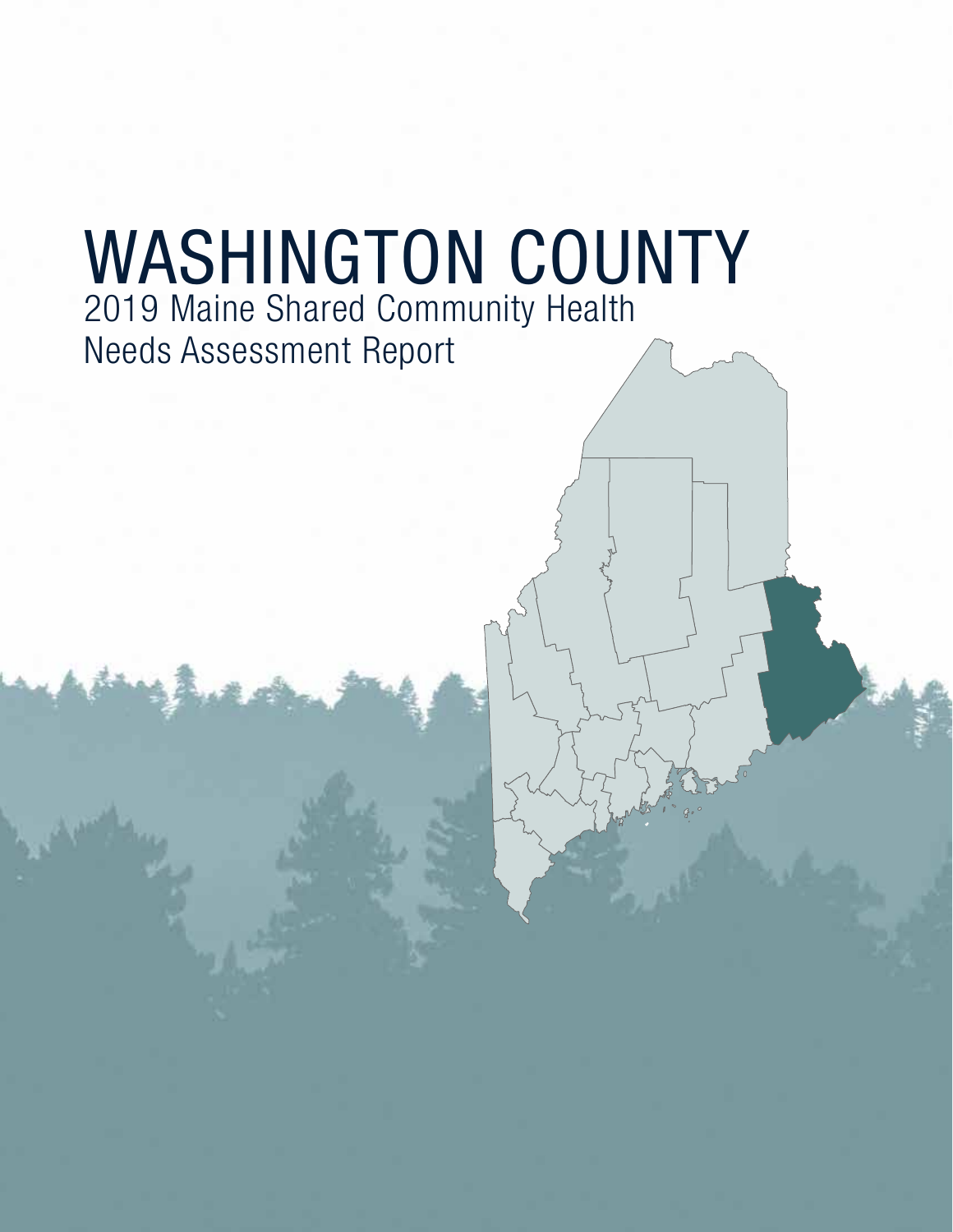## WASHINGTON COUNTY 2019 Maine Shared Community Health Needs Assessment Report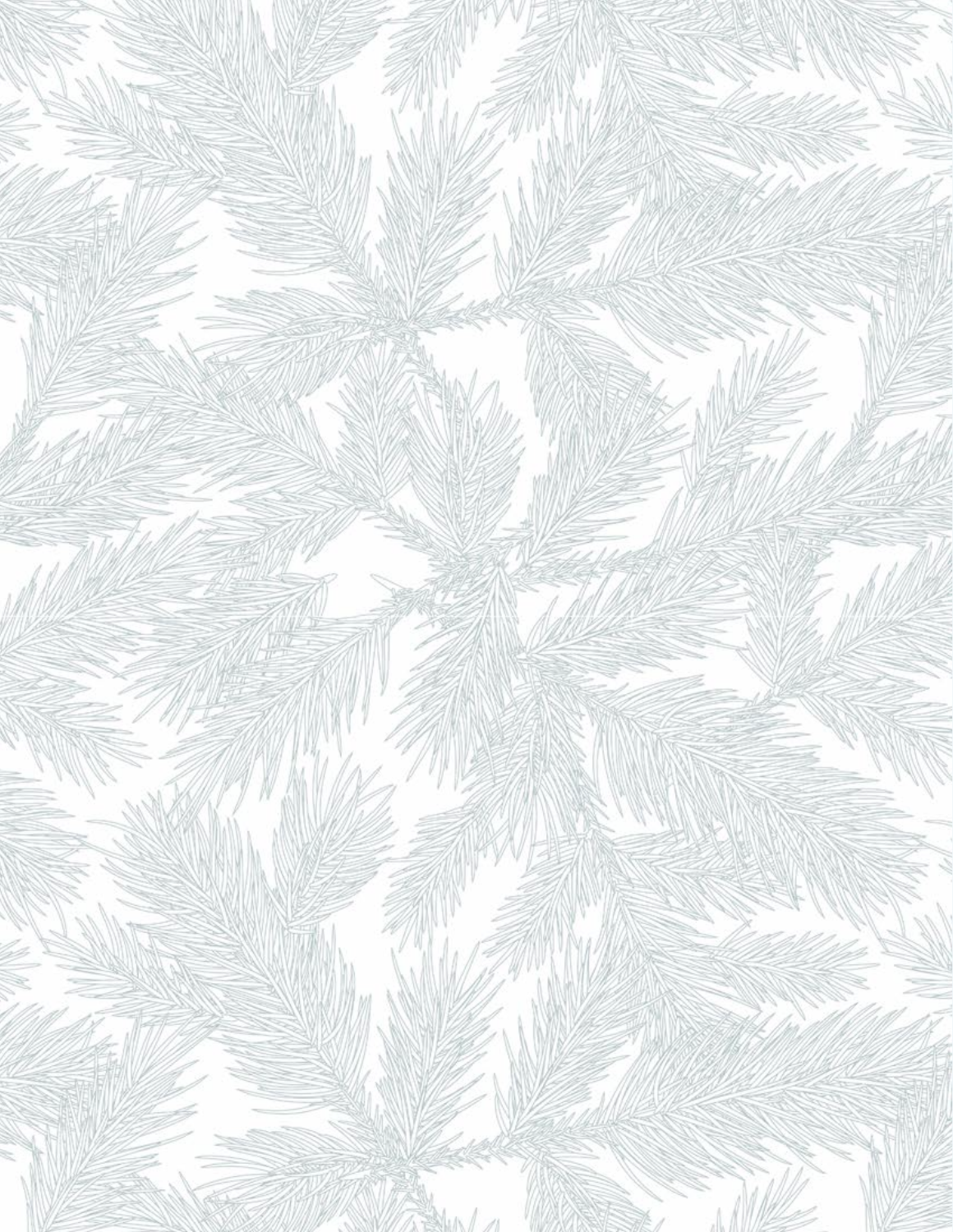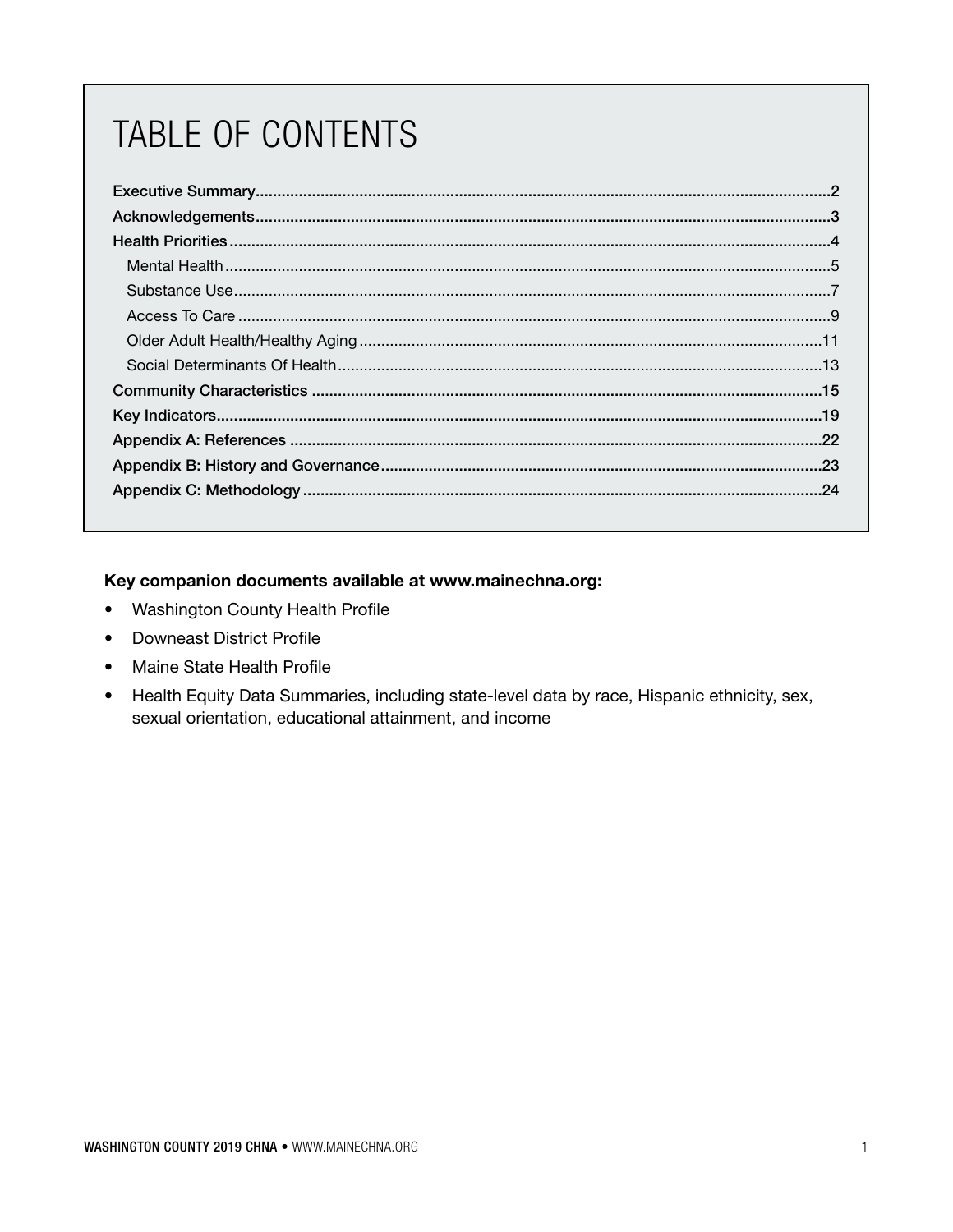## TABLE OF CONTENTS

#### Key companion documents available at www.mainechna.org:

- Washington County Health Profile
- **Downeast District Profile**  $\bullet$
- Maine State Health Profile  $\bullet$
- Health Equity Data Summaries, including state-level data by race, Hispanic ethnicity, sex,  $\bullet$ sexual orientation, educational attainment, and income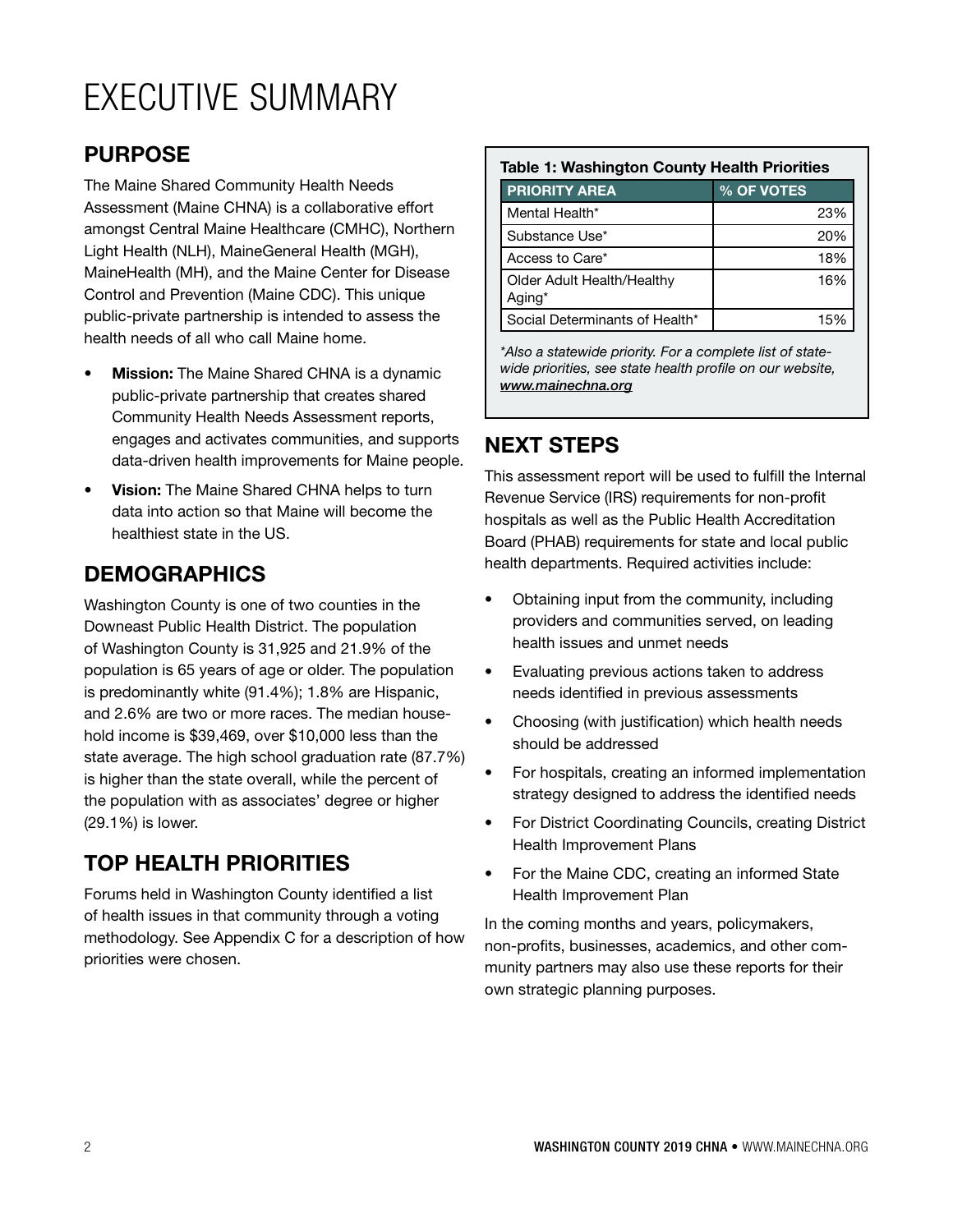## EXECUTIVE SUMMARY

## PURPOSE

The Maine Shared Community Health Needs Assessment (Maine CHNA) is a collaborative effort amongst Central Maine Healthcare (CMHC), Northern Light Health (NLH), MaineGeneral Health (MGH), MaineHealth (MH), and the Maine Center for Disease Control and Prevention (Maine CDC). This unique public-private partnership is intended to assess the health needs of all who call Maine home.

- **Mission:** The Maine Shared CHNA is a dynamic public-private partnership that creates shared Community Health Needs Assessment reports, engages and activates communities, and supports data-driven health improvements for Maine people.
- Vision: The Maine Shared CHNA helps to turn data into action so that Maine will become the healthiest state in the US.

## **DEMOGRAPHICS**

Washington County is one of two counties in the Downeast Public Health District. The population of Washington County is 31,925 and 21.9% of the population is 65 years of age or older. The population is predominantly white (91.4%); 1.8% are Hispanic, and 2.6% are two or more races. The median household income is \$39,469, over \$10,000 less than the state average. The high school graduation rate (87.7%) is higher than the state overall, while the percent of the population with as associates' degree or higher (29.1%) is lower.

## TOP HEALTH PRIORITIES

Forums held in Washington County identified a list of health issues in that community through a voting methodology. See Appendix C for a description of how priorities were chosen.

#### Table 1: Washington County Health Priorities PRIORITY AREA 6 % OF VOTES Mental Health\* **1988** and 1988 and 1988 and 1988 and 1988 and 1988 and 1988 and 1988 and 1988 and 1988 and 1988 and 1988 and 1988 and 1988 and 1988 and 1988 and 1988 and 1988 and 1988 and 1988 and 1988 and 1988 and 1988 an Substance Use\* 1 20% Access to Care\* 18% Older Adult Health/Healthy Aging\* 16% Social Determinants of Health<sup>\*</sup> | 15%

*\*Also a statewide priority. For a complete list of statewide priorities, see state health profile on our website, www.mainechna.org*

## NEXT STEPS

This assessment report will be used to fulfill the Internal Revenue Service (IRS) requirements for non-profit hospitals as well as the Public Health Accreditation Board (PHAB) requirements for state and local public health departments. Required activities include:

- Obtaining input from the community, including providers and communities served, on leading health issues and unmet needs
- Evaluating previous actions taken to address needs identified in previous assessments
- Choosing (with justification) which health needs should be addressed
- For hospitals, creating an informed implementation strategy designed to address the identified needs
- For District Coordinating Councils, creating District Health Improvement Plans
- For the Maine CDC, creating an informed State Health Improvement Plan

In the coming months and years, policymakers, non-profits, businesses, academics, and other community partners may also use these reports for their own strategic planning purposes.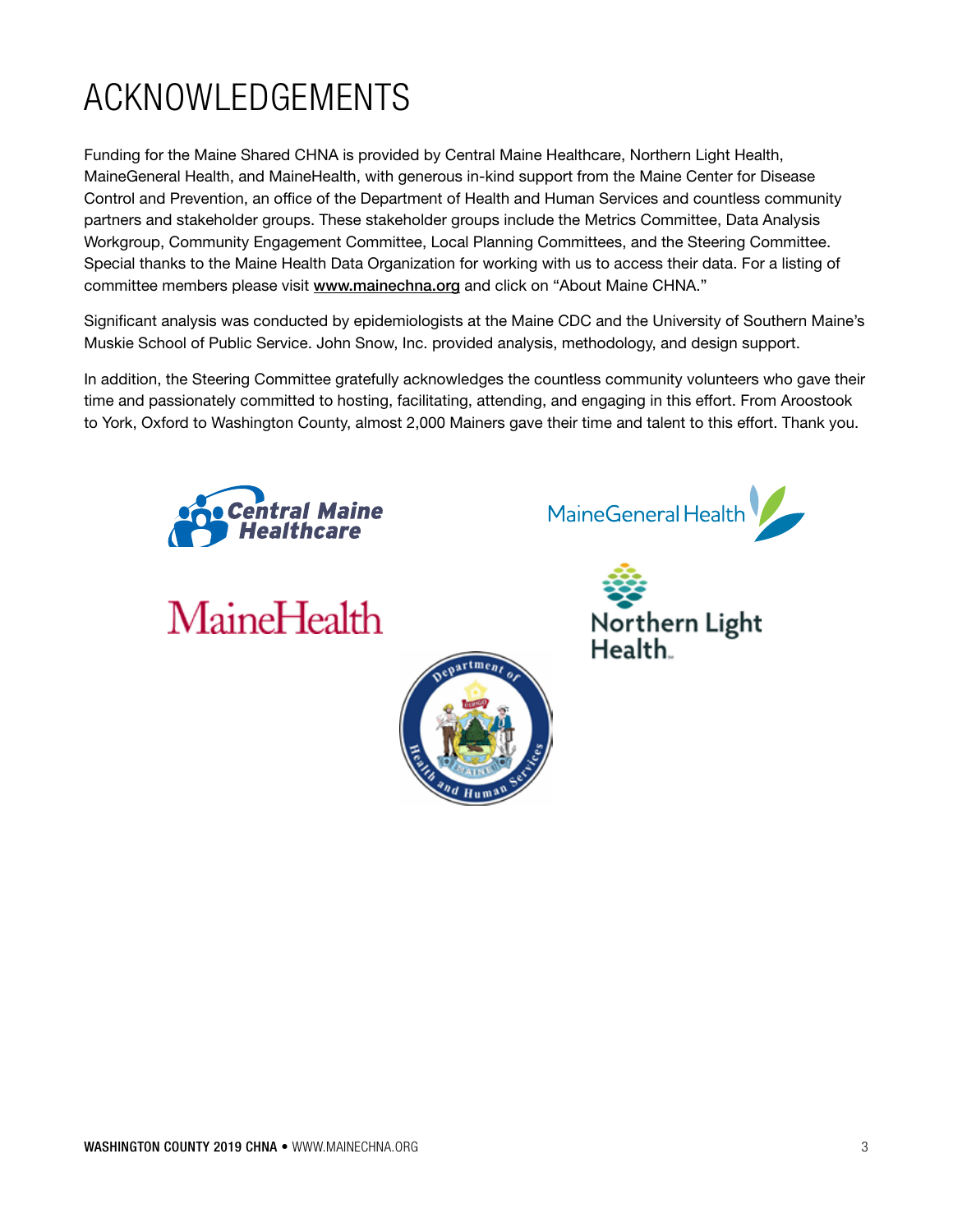## ACKNOWLEDGEMENTS

Funding for the Maine Shared CHNA is provided by Central Maine Healthcare, Northern Light Health, MaineGeneral Health, and MaineHealth, with generous in-kind support from the Maine Center for Disease Control and Prevention, an office of the Department of Health and Human Services and countless community partners and stakeholder groups. These stakeholder groups include the Metrics Committee, Data Analysis Workgroup, Community Engagement Committee, Local Planning Committees, and the Steering Committee. Special thanks to the Maine Health Data Organization for working with us to access their data. For a listing of committee members please visit www.mainechna.org and click on "About Maine CHNA."

Significant analysis was conducted by epidemiologists at the Maine CDC and the University of Southern Maine's Muskie School of Public Service. John Snow, Inc. provided analysis, methodology, and design support.

In addition, the Steering Committee gratefully acknowledges the countless community volunteers who gave their time and passionately committed to hosting, facilitating, attending, and engaging in this effort. From Aroostook to York, Oxford to Washington County, almost 2,000 Mainers gave their time and talent to this effort. Thank you.









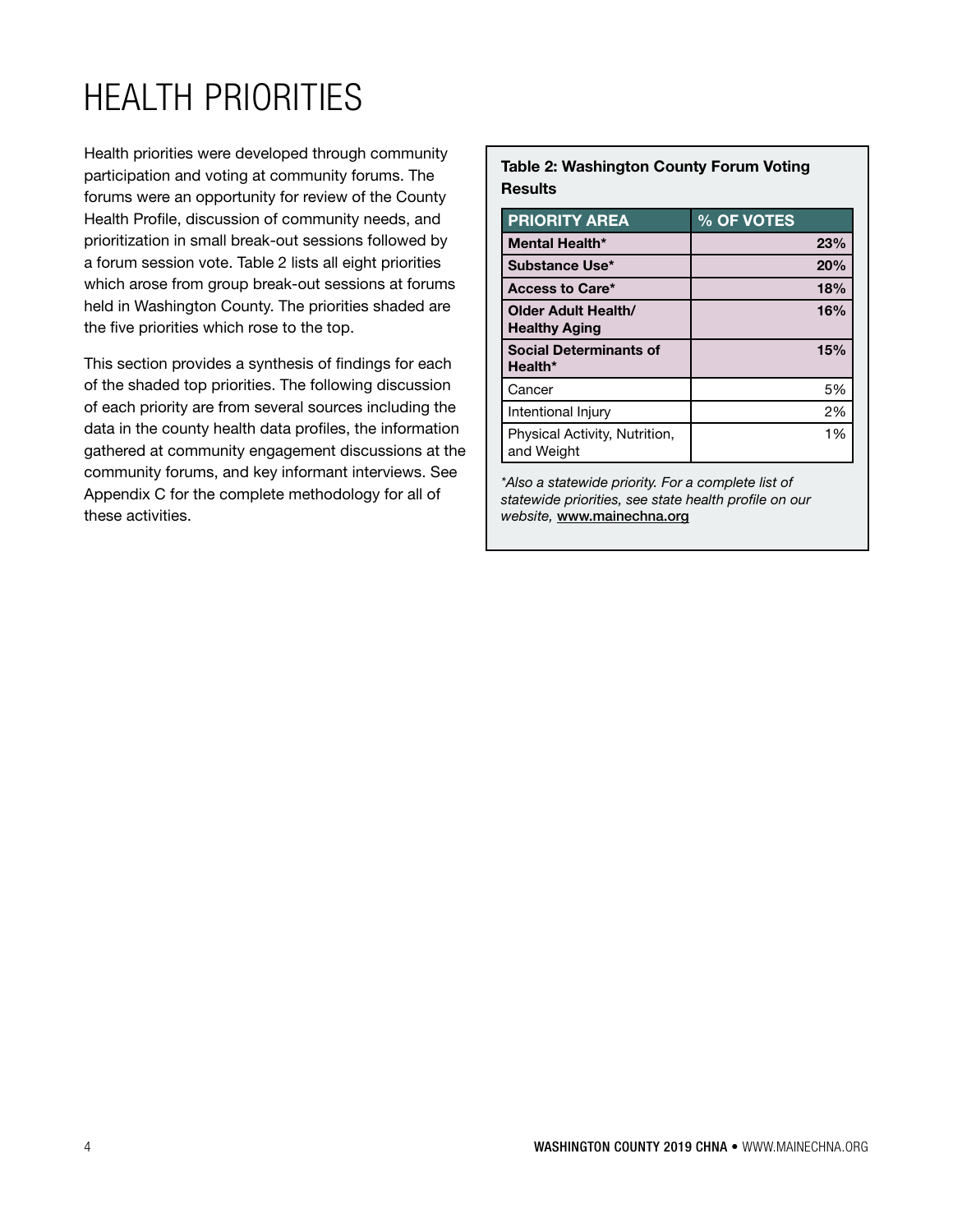## HEALTH PRIORITIES

Health priorities were developed through community participation and voting at community forums. The forums were an opportunity for review of the County Health Profile, discussion of community needs, and prioritization in small break-out sessions followed by a forum session vote. Table 2 lists all eight priorities which arose from group break-out sessions at forums held in Washington County. The priorities shaded are the five priorities which rose to the top.

This section provides a synthesis of findings for each of the shaded top priorities. The following discussion of each priority are from several sources including the data in the county health data profiles, the information gathered at community engagement discussions at the community forums, and key informant interviews. See Appendix C for the complete methodology for all of these activities.

Table 2: Washington County Forum Voting **Results** 

| <b>PRIORITY AREA</b>                               | % OF VOTES |
|----------------------------------------------------|------------|
| <b>Mental Health*</b>                              | 23%        |
| Substance Use*                                     | 20%        |
| <b>Access to Care*</b>                             | 18%        |
| <b>Older Adult Health/</b><br><b>Healthy Aging</b> | 16%        |
| <b>Social Determinants of</b><br>Health*           | 15%        |
| Cancer                                             | 5%         |
| Intentional Injury                                 | 2%         |
| Physical Activity, Nutrition,<br>and Weight        | 1%         |

*\*Also a statewide priority. For a complete list of statewide priorities, see state health profile on our website,* www.mainechna.org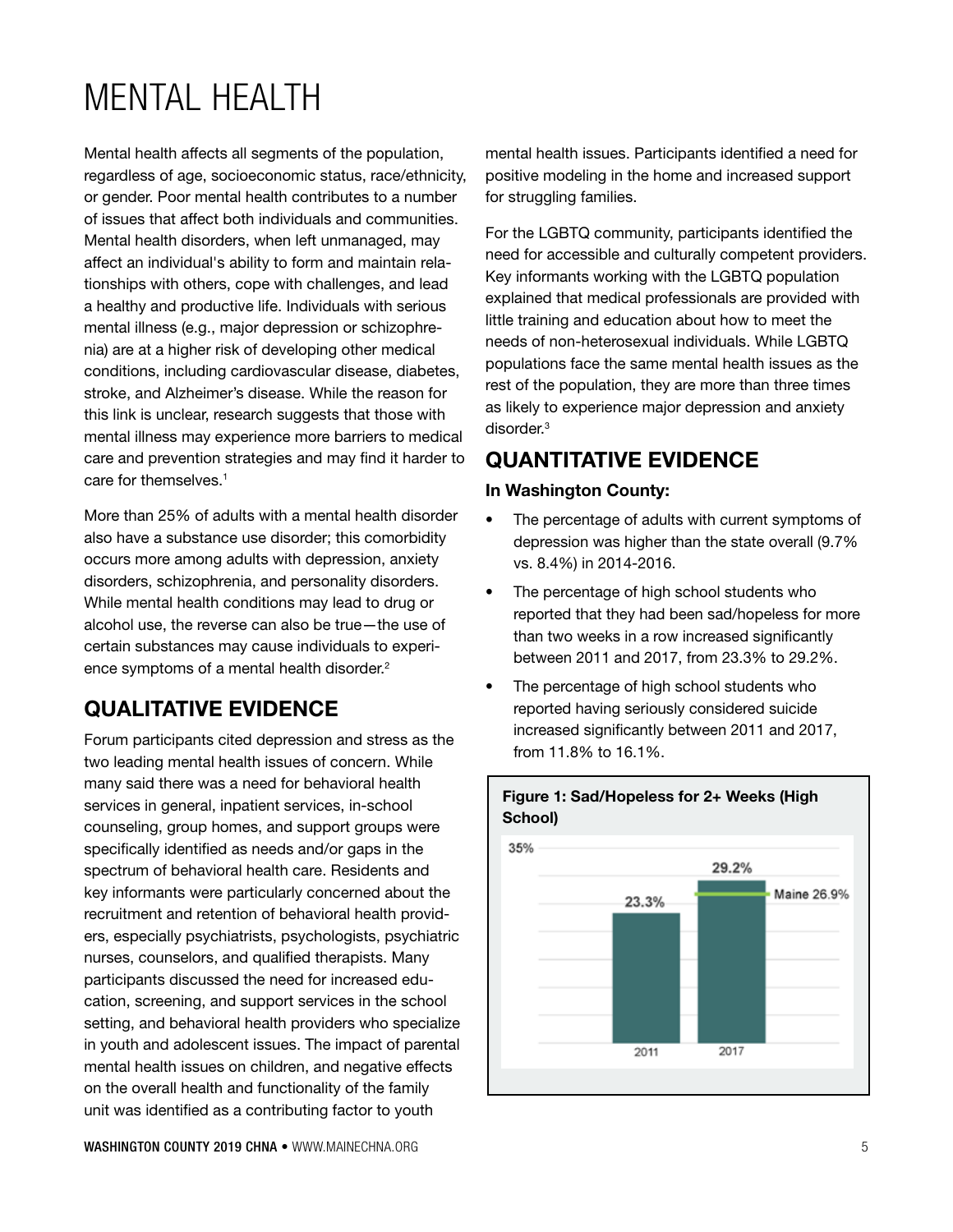## MENTAL HEALTH

Mental health affects all segments of the population, regardless of age, socioeconomic status, race/ethnicity, or gender. Poor mental health contributes to a number of issues that affect both individuals and communities. Mental health disorders, when left unmanaged, may affect an individual's ability to form and maintain relationships with others, cope with challenges, and lead a healthy and productive life. Individuals with serious mental illness (e.g., major depression or schizophrenia) are at a higher risk of developing other medical conditions, including cardiovascular disease, diabetes, stroke, and Alzheimer's disease. While the reason for this link is unclear, research suggests that those with mental illness may experience more barriers to medical care and prevention strategies and may find it harder to care for themselves. 1

More than 25% of adults with a mental health disorder also have a substance use disorder; this comorbidity occurs more among adults with depression, anxiety disorders, schizophrenia, and personality disorders. While mental health conditions may lead to drug or alcohol use, the reverse can also be true—the use of certain substances may cause individuals to experience symptoms of a mental health disorder. 2

## QUALITATIVE EVIDENCE

Forum participants cited depression and stress as the two leading mental health issues of concern. While many said there was a need for behavioral health services in general, inpatient services, in-school counseling, group homes, and support groups were specifically identified as needs and/or gaps in the spectrum of behavioral health care. Residents and key informants were particularly concerned about the recruitment and retention of behavioral health providers, especially psychiatrists, psychologists, psychiatric nurses, counselors, and qualified therapists. Many participants discussed the need for increased education, screening, and support services in the school setting, and behavioral health providers who specialize in youth and adolescent issues. The impact of parental mental health issues on children, and negative effects on the overall health and functionality of the family unit was identified as a contributing factor to youth

mental health issues. Participants identified a need for positive modeling in the home and increased support for struggling families.

For the LGBTQ community, participants identified the need for accessible and culturally competent providers. Key informants working with the LGBTQ population explained that medical professionals are provided with little training and education about how to meet the needs of non-heterosexual individuals. While LGBTQ populations face the same mental health issues as the rest of the population, they are more than three times as likely to experience major depression and anxiety disorder. 3

## QUANTITATIVE EVIDENCE

#### In Washington County:

- The percentage of adults with current symptoms of depression was higher than the state overall (9.7% vs. 8.4%) in 2014-2016.
- The percentage of high school students who reported that they had been sad/hopeless for more than two weeks in a row increased significantly between 2011 and 2017, from 23.3% to 29.2%.
- The percentage of high school students who reported having seriously considered suicide increased significantly between 2011 and 2017, from 11.8% to 16.1%.



# Figure 1: Sad/Hopeless for 2+ Weeks (High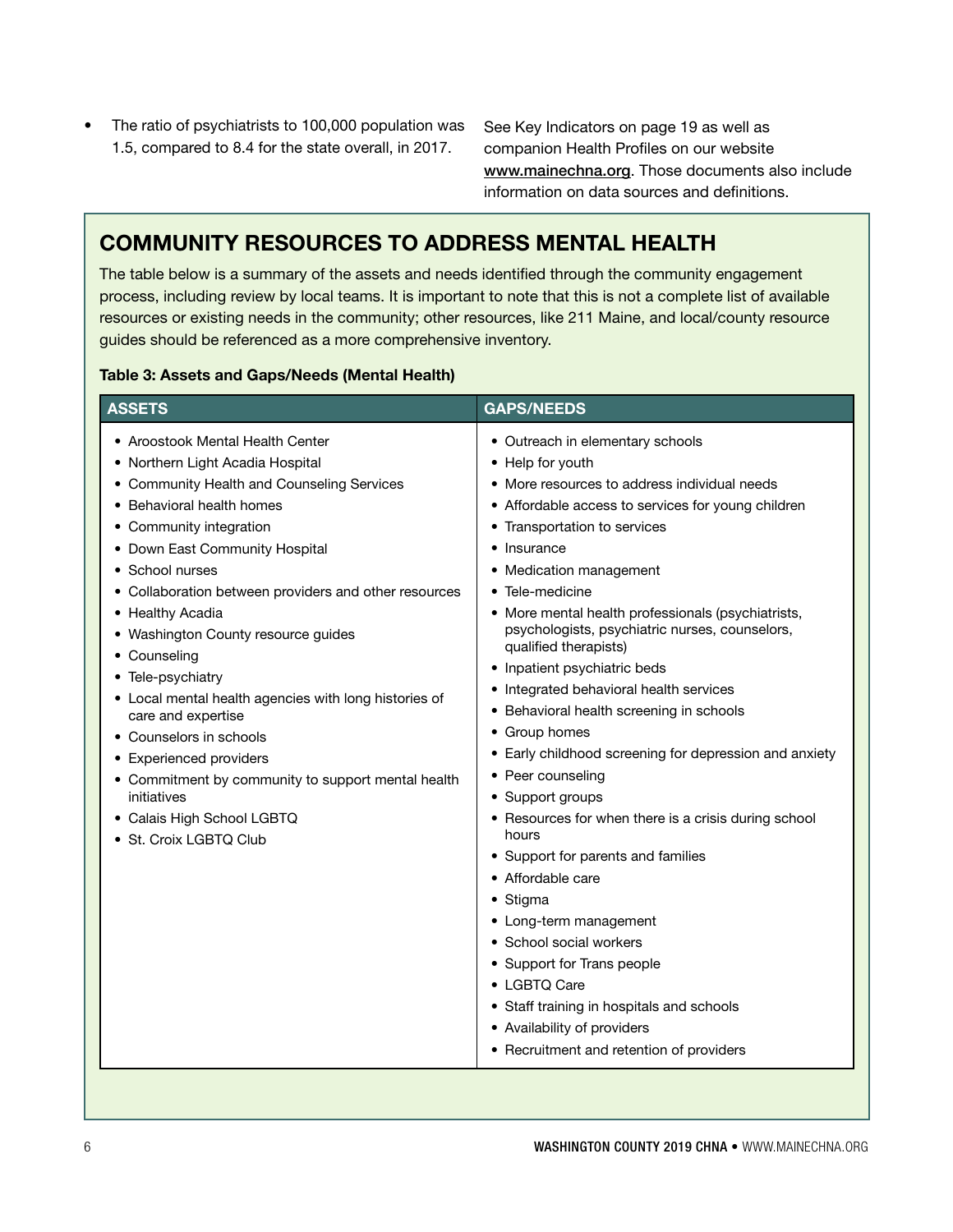• The ratio of psychiatrists to 100,000 population was 1.5, compared to 8.4 for the state overall, in 2017.

See Key Indicators on page 19 as well as companion Health Profiles on our website www.mainechna.org. Those documents also include information on data sources and definitions.

### COMMUNITY RESOURCES TO ADDRESS MENTAL HEALTH

The table below is a summary of the assets and needs identified through the community engagement process, including review by local teams. It is important to note that this is not a complete list of available resources or existing needs in the community; other resources, like 211 Maine, and local/county resource guides should be referenced as a more comprehensive inventory.

#### Table 3: Assets and Gaps/Needs (Mental Health)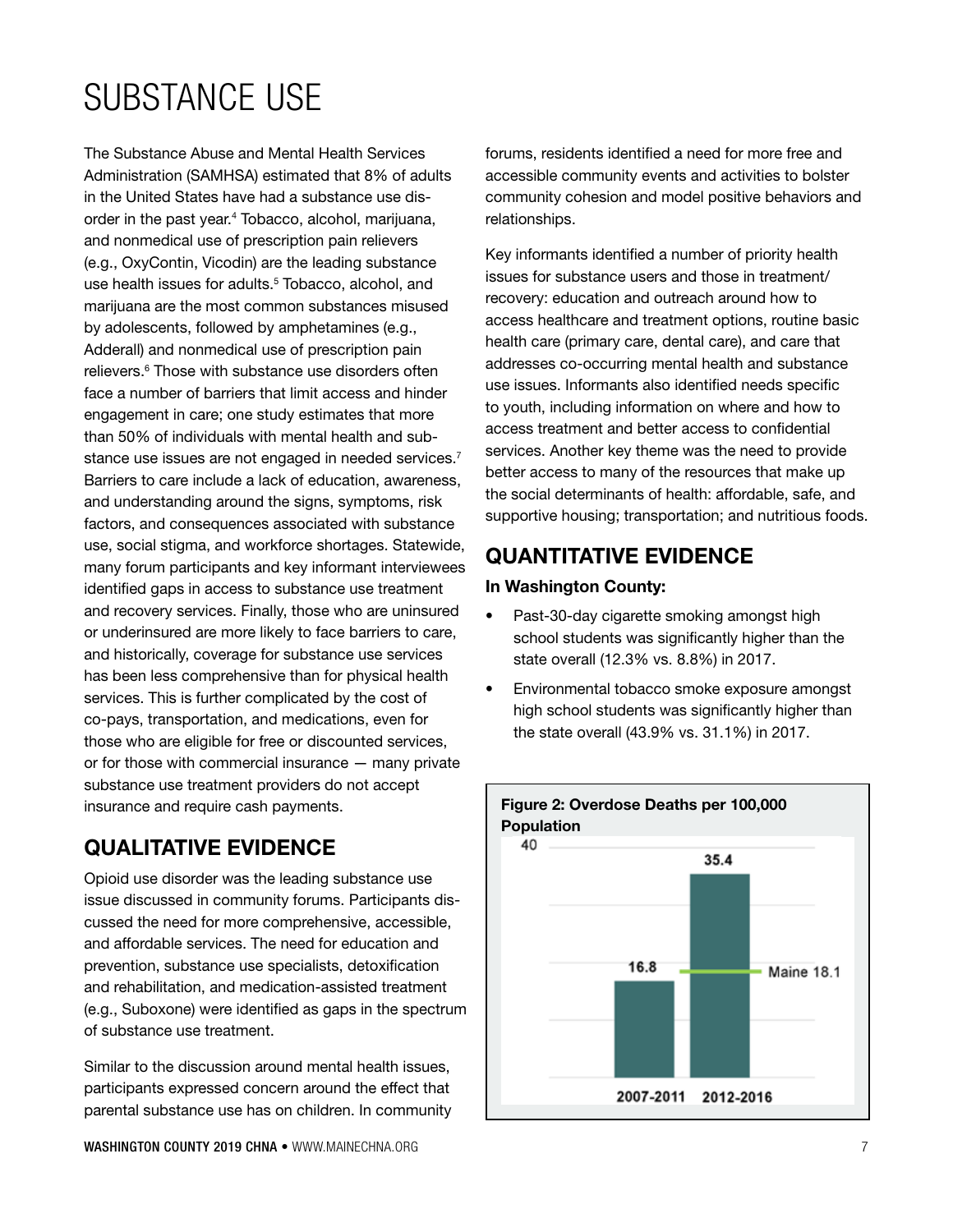## SUBSTANCE USE

The Substance Abuse and Mental Health Services Administration (SAMHSA) estimated that 8% of adults in the United States have had a substance use disorder in the past year. 4 Tobacco, alcohol, marijuana, and nonmedical use of prescription pain relievers (e.g., OxyContin, Vicodin) are the leading substance use health issues for adults. 5 Tobacco, alcohol, and marijuana are the most common substances misused by adolescents, followed by amphetamines (e.g., Adderall) and nonmedical use of prescription pain relievers. 6 Those with substance use disorders often face a number of barriers that limit access and hinder engagement in care; one study estimates that more than 50% of individuals with mental health and substance use issues are not engaged in needed services.<sup>7</sup> Barriers to care include a lack of education, awareness, and understanding around the signs, symptoms, risk factors, and consequences associated with substance use, social stigma, and workforce shortages. Statewide, many forum participants and key informant interviewees identified gaps in access to substance use treatment and recovery services. Finally, those who are uninsured or underinsured are more likely to face barriers to care, and historically, coverage for substance use services has been less comprehensive than for physical health services. This is further complicated by the cost of co-pays, transportation, and medications, even for those who are eligible for free or discounted services, or for those with commercial insurance — many private substance use treatment providers do not accept insurance and require cash payments.

## QUALITATIVE EVIDENCE

Opioid use disorder was the leading substance use issue discussed in community forums. Participants discussed the need for more comprehensive, accessible, and affordable services. The need for education and prevention, substance use specialists, detoxification and rehabilitation, and medication-assisted treatment (e.g., Suboxone) were identified as gaps in the spectrum of substance use treatment.

Similar to the discussion around mental health issues, participants expressed concern around the effect that parental substance use has on children. In community forums, residents identified a need for more free and accessible community events and activities to bolster community cohesion and model positive behaviors and relationships.

Key informants identified a number of priority health issues for substance users and those in treatment/ recovery: education and outreach around how to access healthcare and treatment options, routine basic health care (primary care, dental care), and care that addresses co-occurring mental health and substance use issues. Informants also identified needs specific to youth, including information on where and how to access treatment and better access to confidential services. Another key theme was the need to provide better access to many of the resources that make up the social determinants of health: affordable, safe, and supportive housing; transportation; and nutritious foods.

## QUANTITATIVE EVIDENCE

#### In Washington County:

- Past-30-day cigarette smoking amongst high school students was significantly higher than the state overall (12.3% vs. 8.8%) in 2017.
- Environmental tobacco smoke exposure amongst high school students was significantly higher than the state overall (43.9% vs. 31.1%) in 2017.

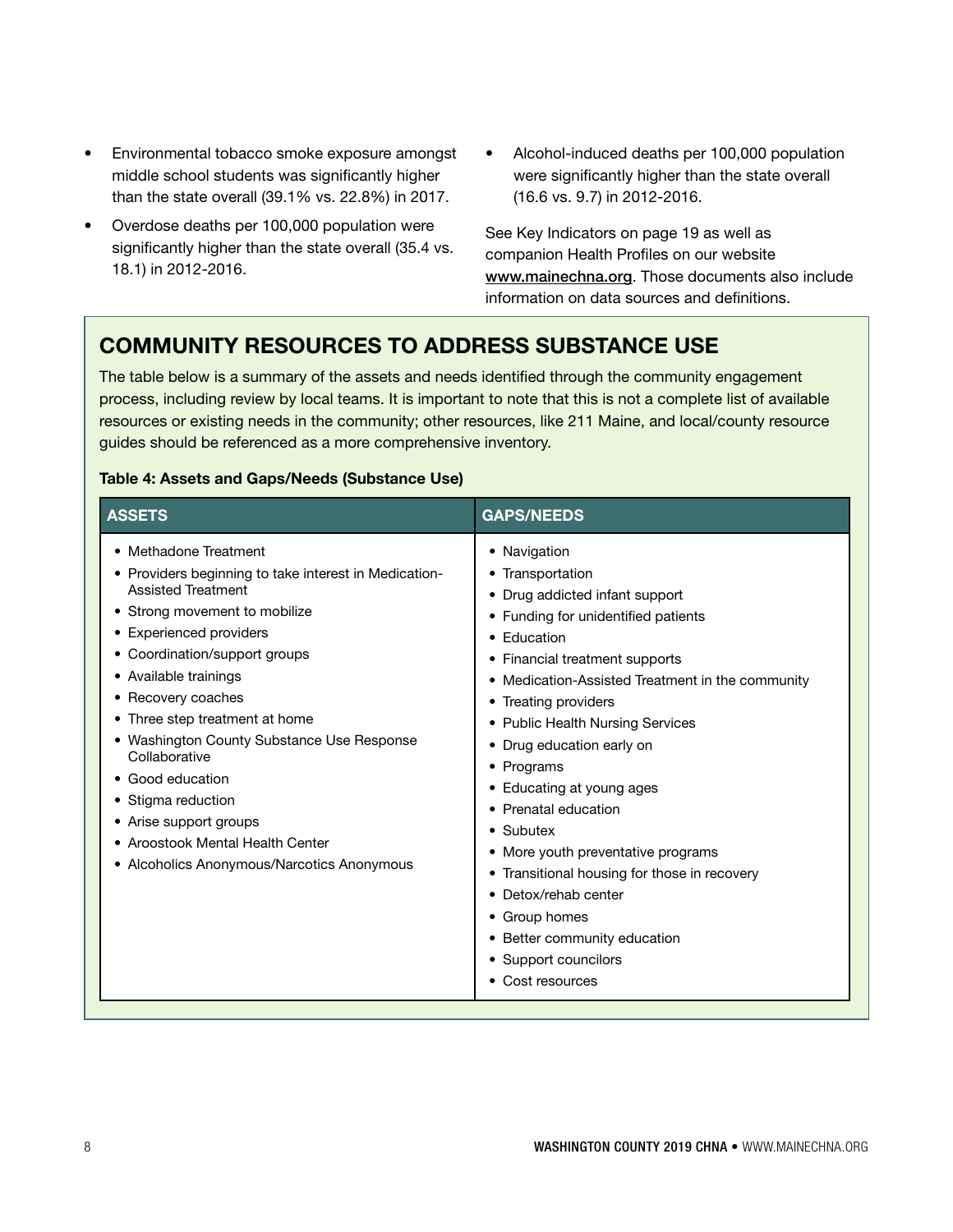- Environmental tobacco smoke exposure amongst middle school students was significantly higher than the state overall (39.1% vs. 22.8%) in 2017.
- Overdose deaths per 100,000 population were significantly higher than the state overall (35.4 vs. 18.1) in 2012-2016.
- Alcohol-induced deaths per 100,000 population were significantly higher than the state overall (16.6 vs. 9.7) in 2012-2016.

See Key Indicators on page 19 as well as companion Health Profiles on our website www.mainechna.org. Those documents also include information on data sources and definitions.

## COMMUNITY RESOURCES TO ADDRESS SUBSTANCE USE

The table below is a summary of the assets and needs identified through the community engagement process, including review by local teams. It is important to note that this is not a complete list of available resources or existing needs in the community; other resources, like 211 Maine, and local/county resource guides should be referenced as a more comprehensive inventory.

| <b>ASSETS</b>                                                                                                                                                                                                                                                                                                                                                                                                                                                                                                | <b>GAPS/NEEDS</b>                                                                                                                                                                                                                                                                                                                                                                                                                                                                                                                                                                                  |
|--------------------------------------------------------------------------------------------------------------------------------------------------------------------------------------------------------------------------------------------------------------------------------------------------------------------------------------------------------------------------------------------------------------------------------------------------------------------------------------------------------------|----------------------------------------------------------------------------------------------------------------------------------------------------------------------------------------------------------------------------------------------------------------------------------------------------------------------------------------------------------------------------------------------------------------------------------------------------------------------------------------------------------------------------------------------------------------------------------------------------|
| • Methadone Treatment<br>• Providers beginning to take interest in Medication-<br><b>Assisted Treatment</b><br>• Strong movement to mobilize<br>• Experienced providers<br>• Coordination/support groups<br>• Available trainings<br>• Recovery coaches<br>• Three step treatment at home<br>Washington County Substance Use Response<br>Collaborative<br>• Good education<br>• Stigma reduction<br>• Arise support groups<br>• Aroostook Mental Health Center<br>• Alcoholics Anonymous/Narcotics Anonymous | • Navigation<br>• Transportation<br>• Drug addicted infant support<br>• Funding for unidentified patients<br>• Education<br>• Financial treatment supports<br>• Medication-Assisted Treatment in the community<br>• Treating providers<br>• Public Health Nursing Services<br>• Drug education early on<br>• Programs<br>• Educating at young ages<br>• Prenatal education<br>• Subutex<br>• More youth preventative programs<br>• Transitional housing for those in recovery<br>• Detox/rehab center<br>• Group homes<br>• Better community education<br>• Support councilors<br>• Cost resources |

#### Table 4: Assets and Gaps/Needs (Substance Use)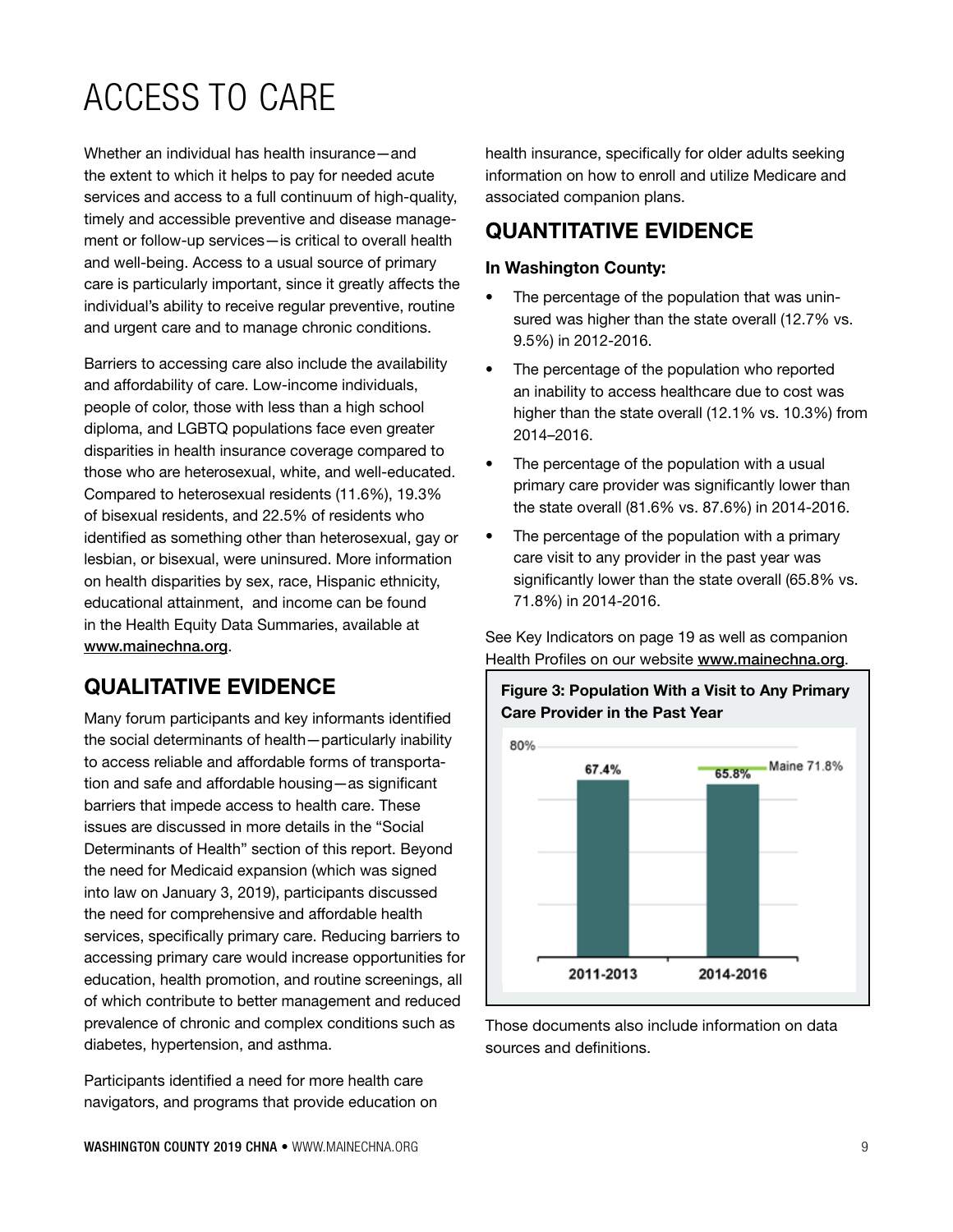## ACCESS TO CARE

Whether an individual has health insurance—and the extent to which it helps to pay for needed acute services and access to a full continuum of high-quality, timely and accessible preventive and disease management or follow-up services—is critical to overall health and well-being. Access to a usual source of primary care is particularly important, since it greatly affects the individual's ability to receive regular preventive, routine and urgent care and to manage chronic conditions.

Barriers to accessing care also include the availability and affordability of care. Low-income individuals, people of color, those with less than a high school diploma, and LGBTQ populations face even greater disparities in health insurance coverage compared to those who are heterosexual, white, and well-educated. Compared to heterosexual residents (11.6%), 19.3% of bisexual residents, and 22.5% of residents who identified as something other than heterosexual, gay or lesbian, or bisexual, were uninsured. More information on health disparities by sex, race, Hispanic ethnicity, educational attainment, and income can be found in the Health Equity Data Summaries, available at www.mainechna.org.

## QUALITATIVE EVIDENCE

Many forum participants and key informants identified the social determinants of health—particularly inability to access reliable and affordable forms of transportation and safe and affordable housing—as significant barriers that impede access to health care. These issues are discussed in more details in the "Social Determinants of Health" section of this report. Beyond the need for Medicaid expansion (which was signed into law on January 3, 2019), participants discussed the need for comprehensive and affordable health services, specifically primary care. Reducing barriers to accessing primary care would increase opportunities for education, health promotion, and routine screenings, all of which contribute to better management and reduced prevalence of chronic and complex conditions such as diabetes, hypertension, and asthma.

Participants identified a need for more health care navigators, and programs that provide education on health insurance, specifically for older adults seeking information on how to enroll and utilize Medicare and associated companion plans.

### QUANTITATIVE EVIDENCE

#### In Washington County:

- The percentage of the population that was uninsured was higher than the state overall (12.7% vs. 9.5%) in 2012-2016.
- The percentage of the population who reported an inability to access healthcare due to cost was higher than the state overall (12.1% vs. 10.3%) from 2014–2016.
- The percentage of the population with a usual primary care provider was significantly lower than the state overall (81.6% vs. 87.6%) in 2014-2016.
- The percentage of the population with a primary care visit to any provider in the past year was significantly lower than the state overall (65.8% vs. 71.8%) in 2014-2016.

See Key Indicators on page 19 as well as companion Health Profiles on our website www.mainechna.org.



Those documents also include information on data sources and definitions.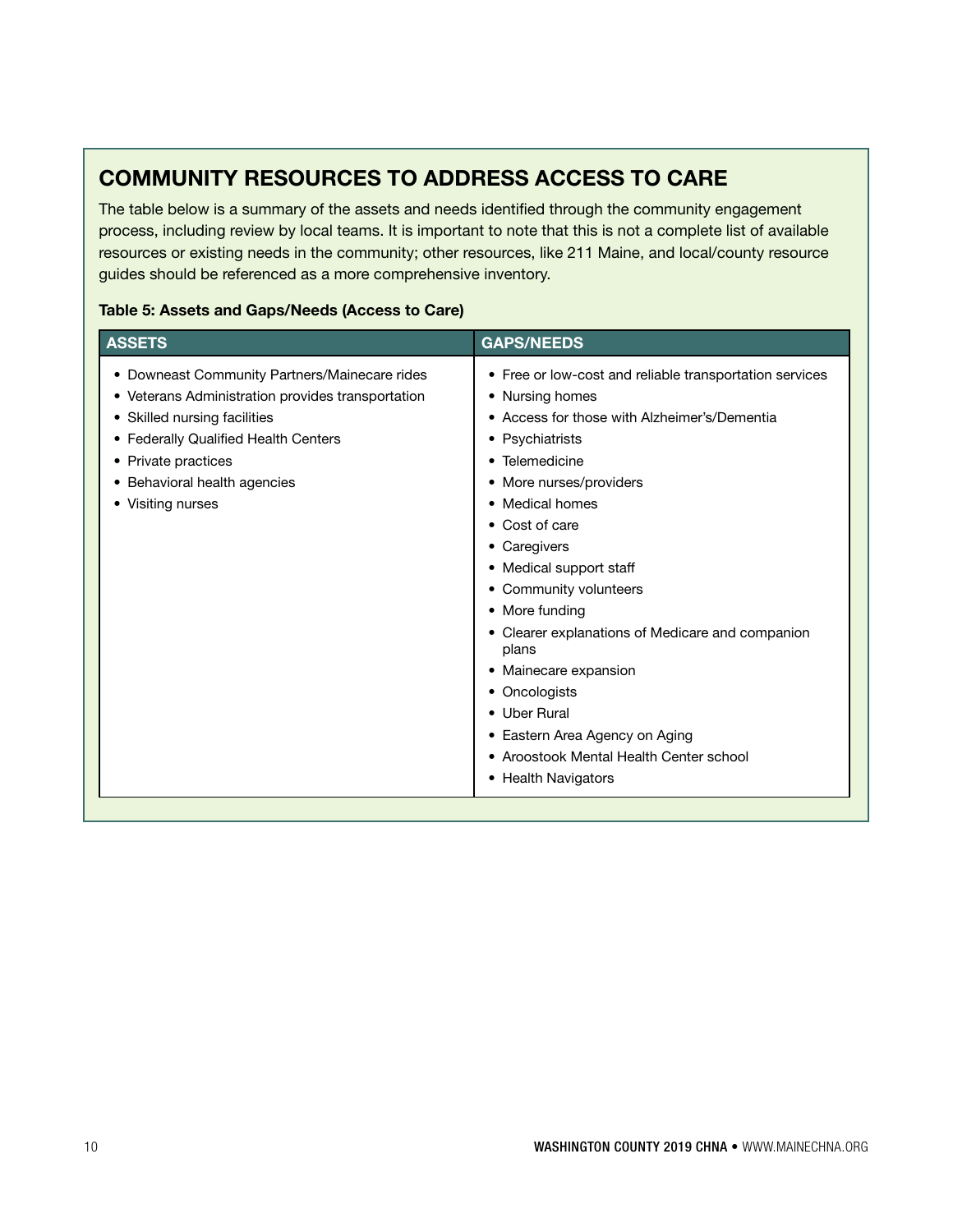## COMMUNITY RESOURCES TO ADDRESS ACCESS TO CARE

The table below is a summary of the assets and needs identified through the community engagement process, including review by local teams. It is important to note that this is not a complete list of available resources or existing needs in the community; other resources, like 211 Maine, and local/county resource guides should be referenced as a more comprehensive inventory.

#### Table 5: Assets and Gaps/Needs (Access to Care)

| <b>ASSETS</b>                                                                                                                                                                                                                                      | <b>GAPS/NEEDS</b>                                                                                                                                                                                                                                                                                                                                                                                                                                                                                                                                                     |
|----------------------------------------------------------------------------------------------------------------------------------------------------------------------------------------------------------------------------------------------------|-----------------------------------------------------------------------------------------------------------------------------------------------------------------------------------------------------------------------------------------------------------------------------------------------------------------------------------------------------------------------------------------------------------------------------------------------------------------------------------------------------------------------------------------------------------------------|
| • Downeast Community Partners/Mainecare rides<br>• Veterans Administration provides transportation<br>Skilled nursing facilities<br>• Federally Qualified Health Centers<br>• Private practices<br>• Behavioral health agencies<br>Visiting nurses | • Free or low-cost and reliable transportation services<br>• Nursing homes<br>• Access for those with Alzheimer's/Dementia<br>• Psychiatrists<br>• Telemedicine<br>• More nurses/providers<br>Medical homes<br>$\bullet$<br>Cost of care<br>$\bullet$<br>• Caregivers<br>• Medical support staff<br>• Community volunteers<br>• More funding<br>Clearer explanations of Medicare and companion<br>plans<br>• Mainecare expansion<br>• Oncologists<br>• Uber Rural<br>• Eastern Area Agency on Aging<br>• Aroostook Mental Health Center school<br>• Health Navigators |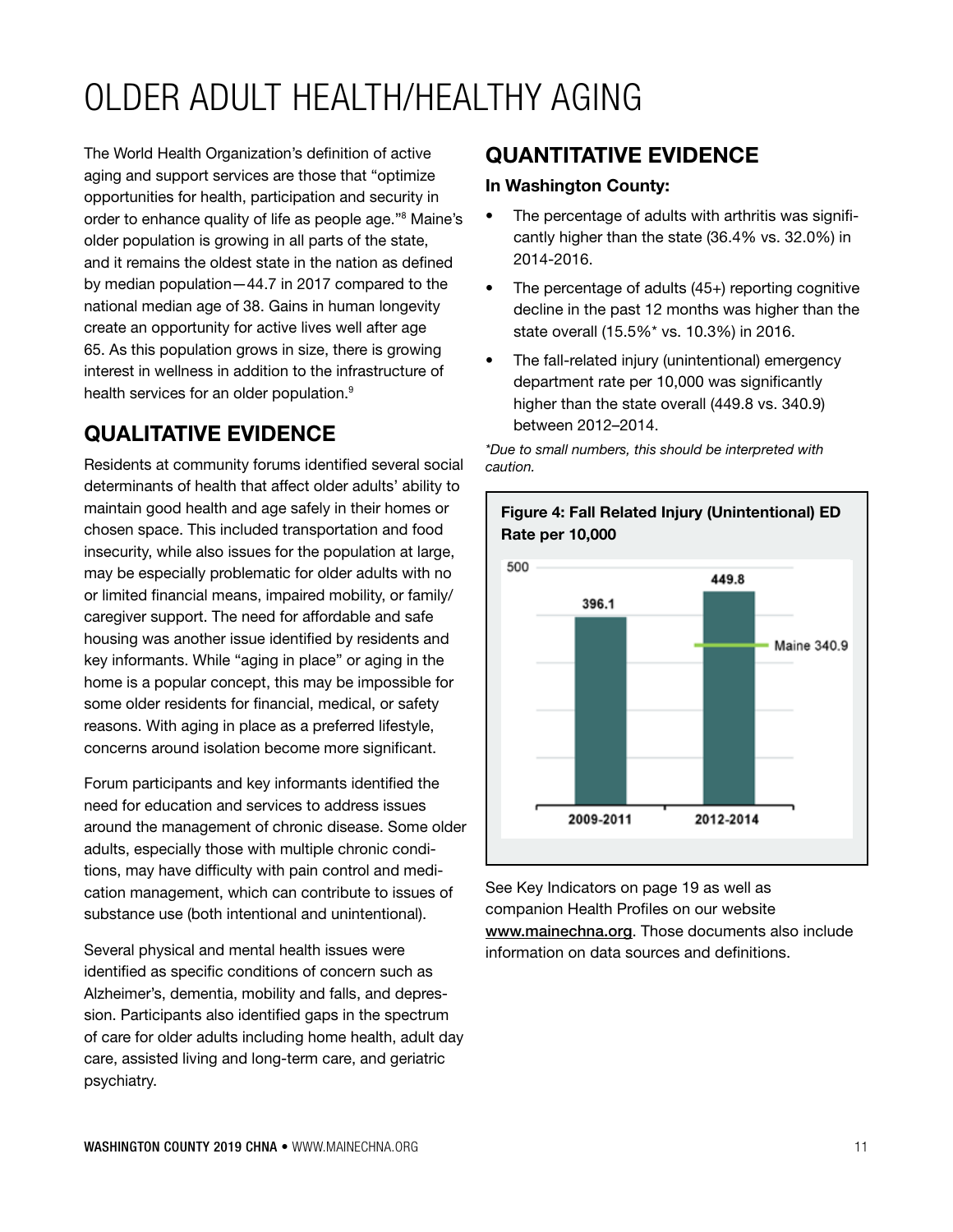## OLDER ADULT HEALTH/HEALTHY AGING

The World Health Organization's definition of active aging and support services are those that "optimize opportunities for health, participation and security in order to enhance quality of life as people age."8 Maine's older population is growing in all parts of the state, and it remains the oldest state in the nation as defined by median population—44.7 in 2017 compared to the national median age of 38. Gains in human longevity create an opportunity for active lives well after age 65. As this population grows in size, there is growing interest in wellness in addition to the infrastructure of health services for an older population.<sup>9</sup>

## QUALITATIVE EVIDENCE

Residents at community forums identified several social determinants of health that affect older adults' ability to maintain good health and age safely in their homes or chosen space. This included transportation and food insecurity, while also issues for the population at large, may be especially problematic for older adults with no or limited financial means, impaired mobility, or family/ caregiver support. The need for affordable and safe housing was another issue identified by residents and key informants. While "aging in place" or aging in the home is a popular concept, this may be impossible for some older residents for financial, medical, or safety reasons. With aging in place as a preferred lifestyle, concerns around isolation become more significant.

Forum participants and key informants identified the need for education and services to address issues around the management of chronic disease. Some older adults, especially those with multiple chronic conditions, may have difficulty with pain control and medication management, which can contribute to issues of substance use (both intentional and unintentional).

Several physical and mental health issues were identified as specific conditions of concern such as Alzheimer's, dementia, mobility and falls, and depression. Participants also identified gaps in the spectrum of care for older adults including home health, adult day care, assisted living and long-term care, and geriatric psychiatry.

## QUANTITATIVE EVIDENCE

#### In Washington County:

- The percentage of adults with arthritis was significantly higher than the state (36.4% vs. 32.0%) in 2014-2016.
- The percentage of adults (45+) reporting cognitive decline in the past 12 months was higher than the state overall (15.5%\* vs. 10.3%) in 2016.
- The fall-related injury (unintentional) emergency department rate per 10,000 was significantly higher than the state overall (449.8 vs. 340.9) between 2012–2014.

*\*Due to small numbers, this should be interpreted with caution.*

Figure 4: Fall Related Injury (Unintentional) ED



See Key Indicators on page 19 as well as companion Health Profiles on our website www.mainechna.org. Those documents also include

information on data sources and definitions.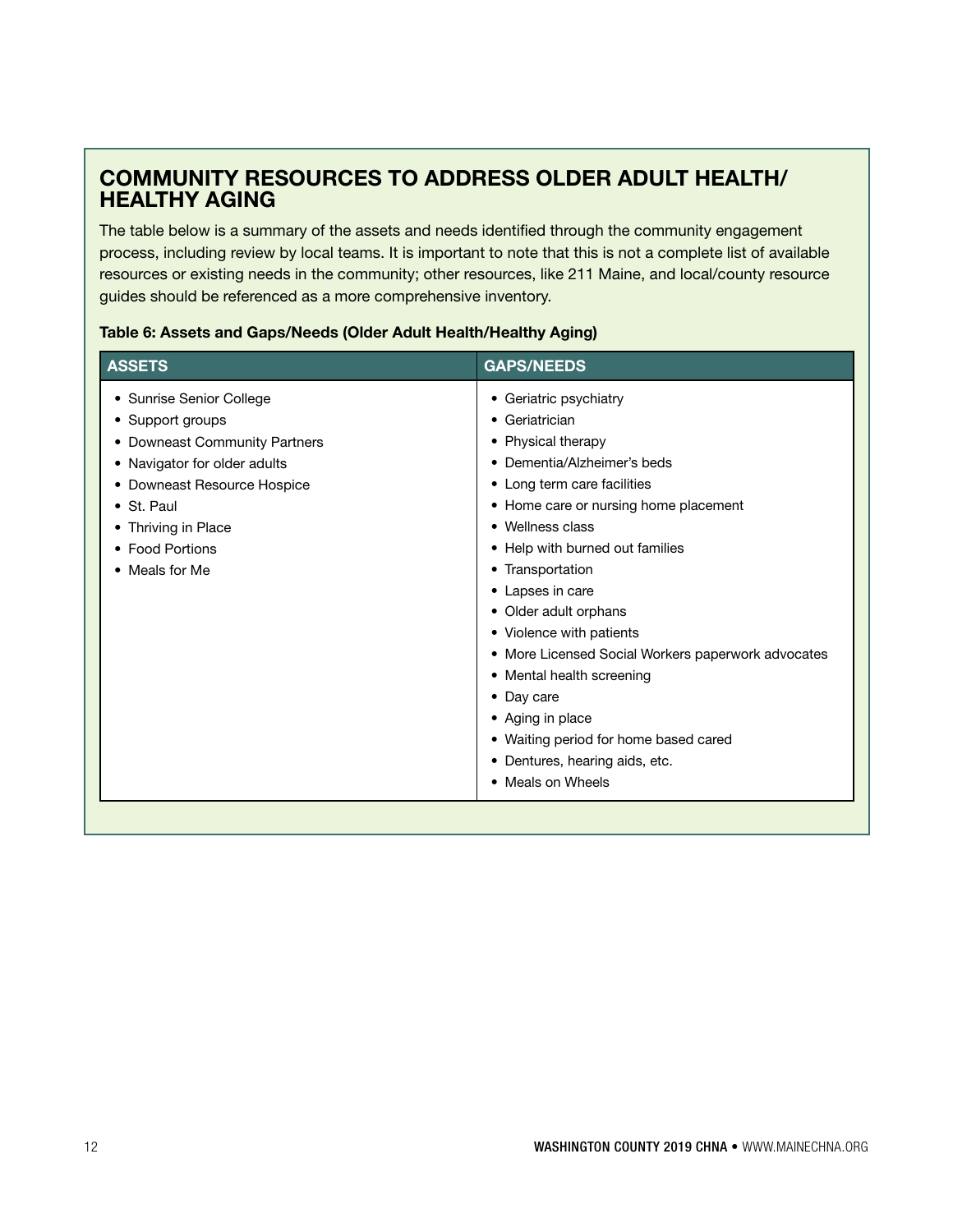### COMMUNITY RESOURCES TO ADDRESS OLDER ADULT HEALTH/ HEALTHY AGING

The table below is a summary of the assets and needs identified through the community engagement process, including review by local teams. It is important to note that this is not a complete list of available resources or existing needs in the community; other resources, like 211 Maine, and local/county resource guides should be referenced as a more comprehensive inventory.

#### Table 6: Assets and Gaps/Needs (Older Adult Health/Healthy Aging)

| • Sunrise Senior College<br>• Geriatric psychiatry<br>• Geriatrician<br>• Support groups<br>• Physical therapy<br>• Downeast Community Partners<br>• Dementia/Alzheimer's beds<br>• Navigator for older adults<br>• Long term care facilities<br>• Downeast Resource Hospice<br>• Home care or nursing home placement<br>$\bullet$ St. Paul<br>• Wellness class<br>Thriving in Place<br>٠<br>• Help with burned out families<br>• Food Portions<br>• Transportation<br>• Meals for Me<br>• Lapses in care<br>• Older adult orphans<br>• Violence with patients<br>• More Licensed Social Workers paperwork advocates<br>• Mental health screening<br>• Day care<br>• Aging in place<br>• Waiting period for home based cared<br>• Dentures, hearing aids, etc. | <b>ASSETS</b> | <b>GAPS/NEEDS</b> |
|----------------------------------------------------------------------------------------------------------------------------------------------------------------------------------------------------------------------------------------------------------------------------------------------------------------------------------------------------------------------------------------------------------------------------------------------------------------------------------------------------------------------------------------------------------------------------------------------------------------------------------------------------------------------------------------------------------------------------------------------------------------|---------------|-------------------|
| • Meals on Wheels                                                                                                                                                                                                                                                                                                                                                                                                                                                                                                                                                                                                                                                                                                                                              |               |                   |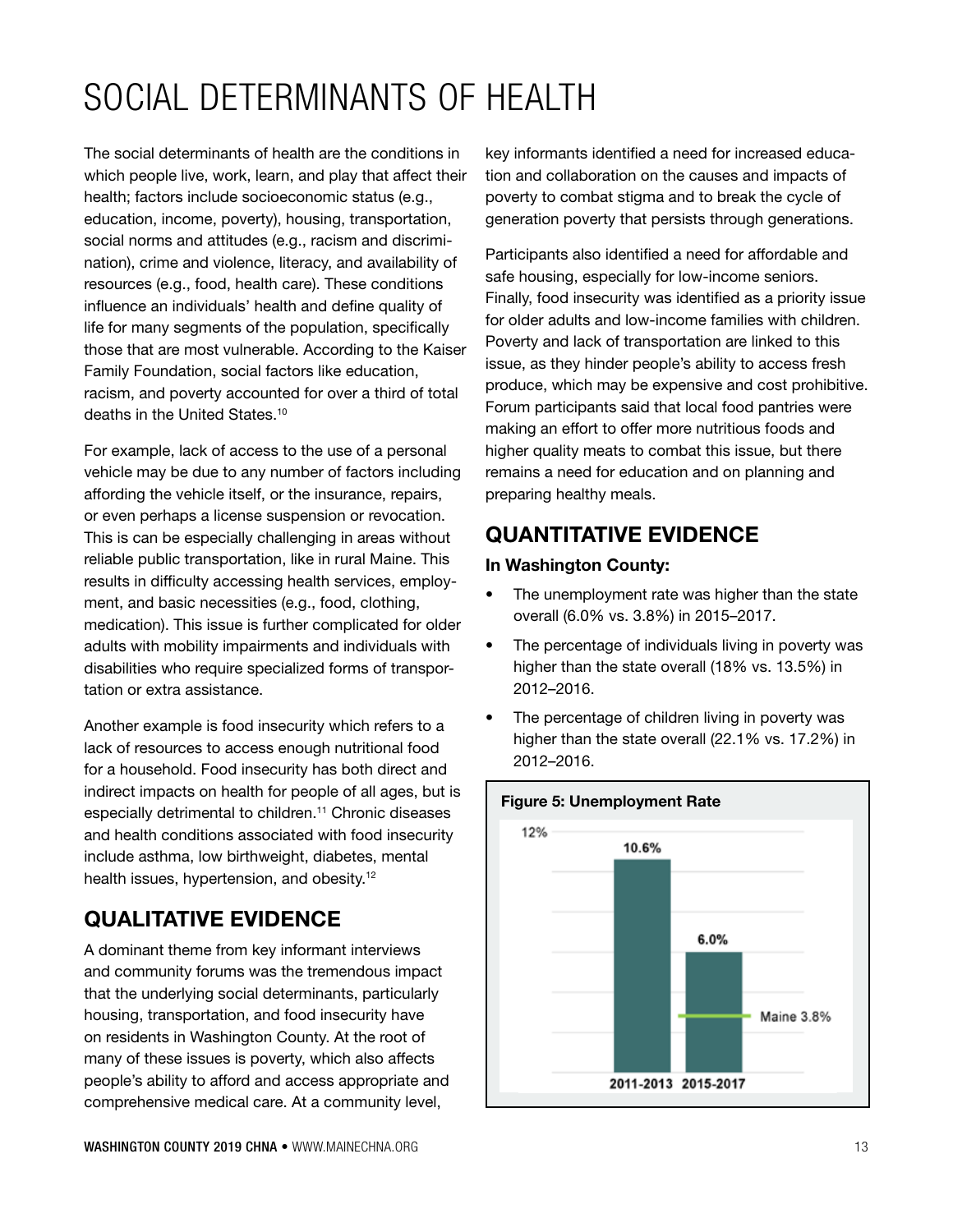## SOCIAL DETERMINANTS OF HEALTH

The social determinants of health are the conditions in which people live, work, learn, and play that affect their health; factors include socioeconomic status (e.g., education, income, poverty), housing, transportation, social norms and attitudes (e.g., racism and discrimination), crime and violence, literacy, and availability of resources (e.g., food, health care). These conditions influence an individuals' health and define quality of life for many segments of the population, specifically those that are most vulnerable. According to the Kaiser Family Foundation, social factors like education, racism, and poverty accounted for over a third of total deaths in the United States. 10

For example, lack of access to the use of a personal vehicle may be due to any number of factors including affording the vehicle itself, or the insurance, repairs, or even perhaps a license suspension or revocation. This is can be especially challenging in areas without reliable public transportation, like in rural Maine. This results in difficulty accessing health services, employment, and basic necessities (e.g., food, clothing, medication). This issue is further complicated for older adults with mobility impairments and individuals with disabilities who require specialized forms of transportation or extra assistance.

Another example is food insecurity which refers to a lack of resources to access enough nutritional food for a household. Food insecurity has both direct and indirect impacts on health for people of all ages, but is especially detrimental to children. 11 Chronic diseases and health conditions associated with food insecurity include asthma, low birthweight, diabetes, mental health issues, hypertension, and obesity.<sup>12</sup>

## QUALITATIVE EVIDENCE

A dominant theme from key informant interviews and community forums was the tremendous impact that the underlying social determinants, particularly housing, transportation, and food insecurity have on residents in Washington County. At the root of many of these issues is poverty, which also affects people's ability to afford and access appropriate and comprehensive medical care. At a community level,

key informants identified a need for increased education and collaboration on the causes and impacts of poverty to combat stigma and to break the cycle of generation poverty that persists through generations.

Participants also identified a need for affordable and safe housing, especially for low-income seniors. Finally, food insecurity was identified as a priority issue for older adults and low-income families with children. Poverty and lack of transportation are linked to this issue, as they hinder people's ability to access fresh produce, which may be expensive and cost prohibitive. Forum participants said that local food pantries were making an effort to offer more nutritious foods and higher quality meats to combat this issue, but there remains a need for education and on planning and preparing healthy meals.

## QUANTITATIVE EVIDENCE

#### In Washington County:

- The unemployment rate was higher than the state overall (6.0% vs. 3.8%) in 2015–2017.
- The percentage of individuals living in poverty was higher than the state overall (18% vs. 13.5%) in 2012–2016.
- The percentage of children living in poverty was higher than the state overall (22.1% vs. 17.2%) in 2012–2016.

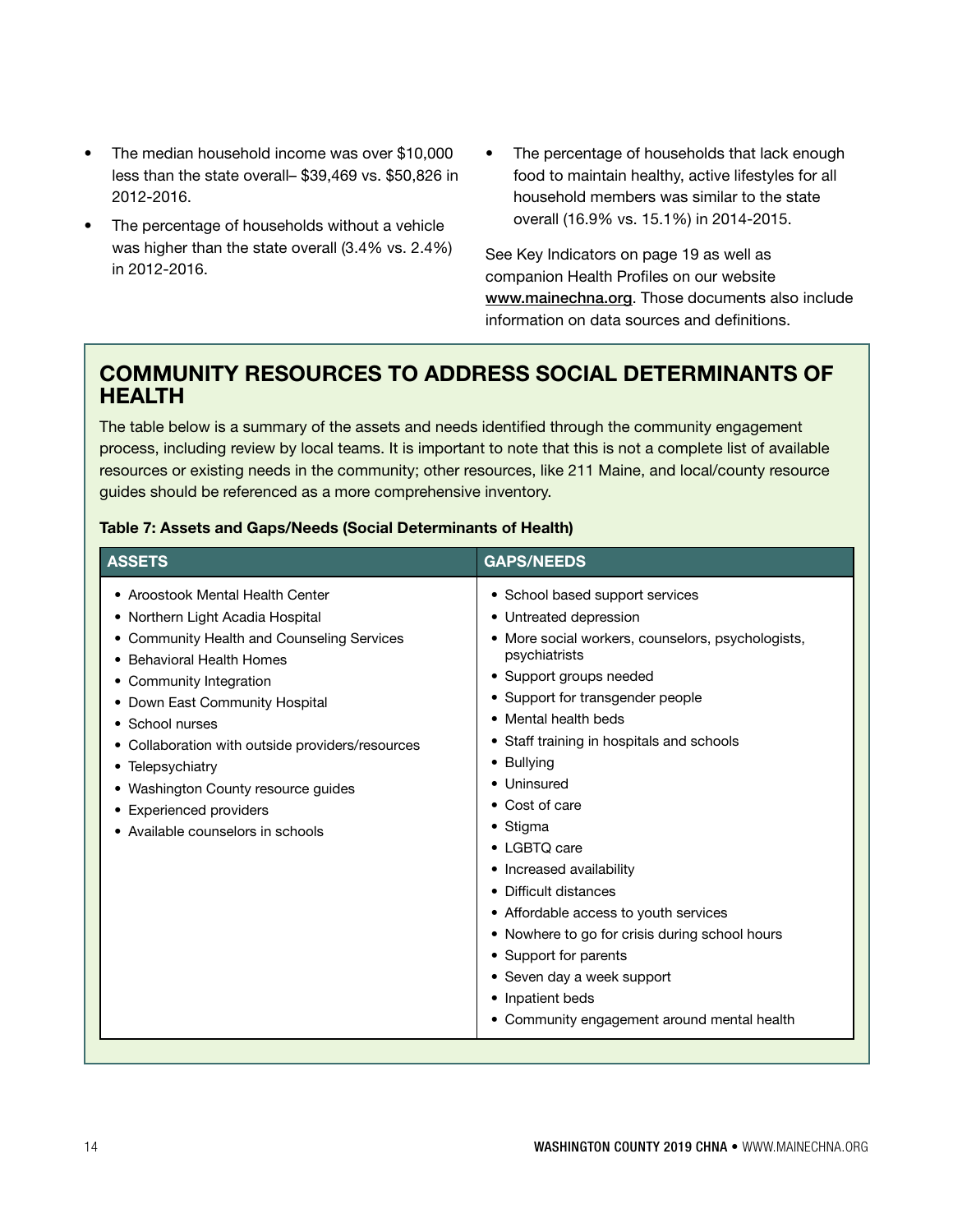- The median household income was over \$10,000 less than the state overall– \$39,469 vs. \$50,826 in 2012-2016.
- The percentage of households without a vehicle was higher than the state overall (3.4% vs. 2.4%) in 2012-2016.
- The percentage of households that lack enough food to maintain healthy, active lifestyles for all household members was similar to the state overall (16.9% vs. 15.1%) in 2014-2015.

See Key Indicators on page 19 as well as companion Health Profiles on our website www.mainechna.org. Those documents also include information on data sources and definitions.

### COMMUNITY RESOURCES TO ADDRESS SOCIAL DETERMINANTS OF **HEALTH**

The table below is a summary of the assets and needs identified through the community engagement process, including review by local teams. It is important to note that this is not a complete list of available resources or existing needs in the community; other resources, like 211 Maine, and local/county resource guides should be referenced as a more comprehensive inventory.

#### Table 7: Assets and Gaps/Needs (Social Determinants of Health)

| <b>ASSETS</b>                                                                                                                                                                                                                                                                                                                                                                                                                    | <b>GAPS/NEEDS</b>                                                                                                                                                                                                                                                                                                                                                                                                                                                                                                                                                                                                        |
|----------------------------------------------------------------------------------------------------------------------------------------------------------------------------------------------------------------------------------------------------------------------------------------------------------------------------------------------------------------------------------------------------------------------------------|--------------------------------------------------------------------------------------------------------------------------------------------------------------------------------------------------------------------------------------------------------------------------------------------------------------------------------------------------------------------------------------------------------------------------------------------------------------------------------------------------------------------------------------------------------------------------------------------------------------------------|
| • Aroostook Mental Health Center<br>• Northern Light Acadia Hospital<br><b>Community Health and Counseling Services</b><br><b>Behavioral Health Homes</b><br>• Community Integration<br>• Down East Community Hospital<br>• School nurses<br>• Collaboration with outside providers/resources<br>• Telepsychiatry<br>• Washington County resource guides<br>• Experienced providers<br>$\bullet$ Available counselors in schools | • School based support services<br>• Untreated depression<br>• More social workers, counselors, psychologists,<br>psychiatrists<br>• Support groups needed<br>• Support for transgender people<br>• Mental health beds<br>• Staff training in hospitals and schools<br>• Bullying<br>• Uninsured<br>• Cost of care<br>• Stigma<br>• LGBTO care<br>• Increased availability<br>• Difficult distances<br>• Affordable access to youth services<br>• Nowhere to go for crisis during school hours<br>• Support for parents<br>• Seven day a week support<br>• Inpatient beds<br>• Community engagement around mental health |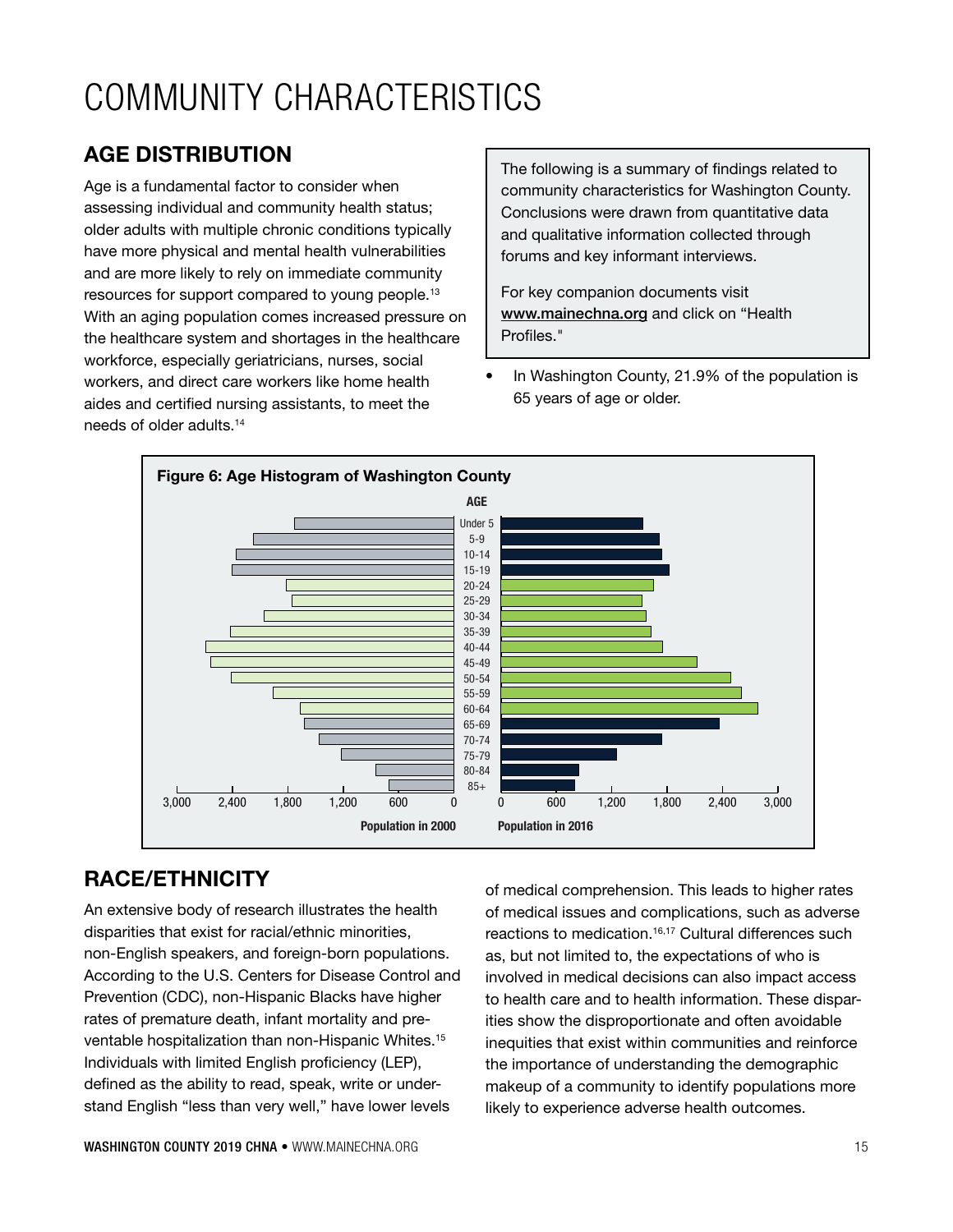## COMMUNITY CHARACTERISTICS

## AGE DISTRIBUTION

Age is a fundamental factor to consider when assessing individual and community health status; older adults with multiple chronic conditions typically have more physical and mental health vulnerabilities and are more likely to rely on immediate community resources for support compared to young people.<sup>13</sup> With an aging population comes increased pressure on the healthcare system and shortages in the healthcare workforce, especially geriatricians, nurses, social workers, and direct care workers like home health aides and certified nursing assistants, to meet the needs of older adults. 14

The following is a summary of findings related to community characteristics for Washington County. Conclusions were drawn from quantitative data and qualitative information collected through forums and key informant interviews.

For key companion documents visit www.mainechna.org and click on "Health Profiles."

In Washington County, 21.9% of the population is 65 years of age or older.



## RACE/ETHNICITY

An extensive body of research illustrates the health disparities that exist for racial/ethnic minorities, non-English speakers, and foreign-born populations. According to the U.S. Centers for Disease Control and Prevention (CDC), non-Hispanic Blacks have higher rates of premature death, infant mortality and preventable hospitalization than non-Hispanic Whites. 15 Individuals with limited English proficiency (LEP), defined as the ability to read, speak, write or understand English "less than very well," have lower levels

of medical comprehension. This leads to higher rates of medical issues and complications, such as adverse reactions to medication. 16,17 Cultural differences such as, but not limited to, the expectations of who is involved in medical decisions can also impact access to health care and to health information. These disparities show the disproportionate and often avoidable inequities that exist within communities and reinforce the importance of understanding the demographic makeup of a community to identify populations more likely to experience adverse health outcomes.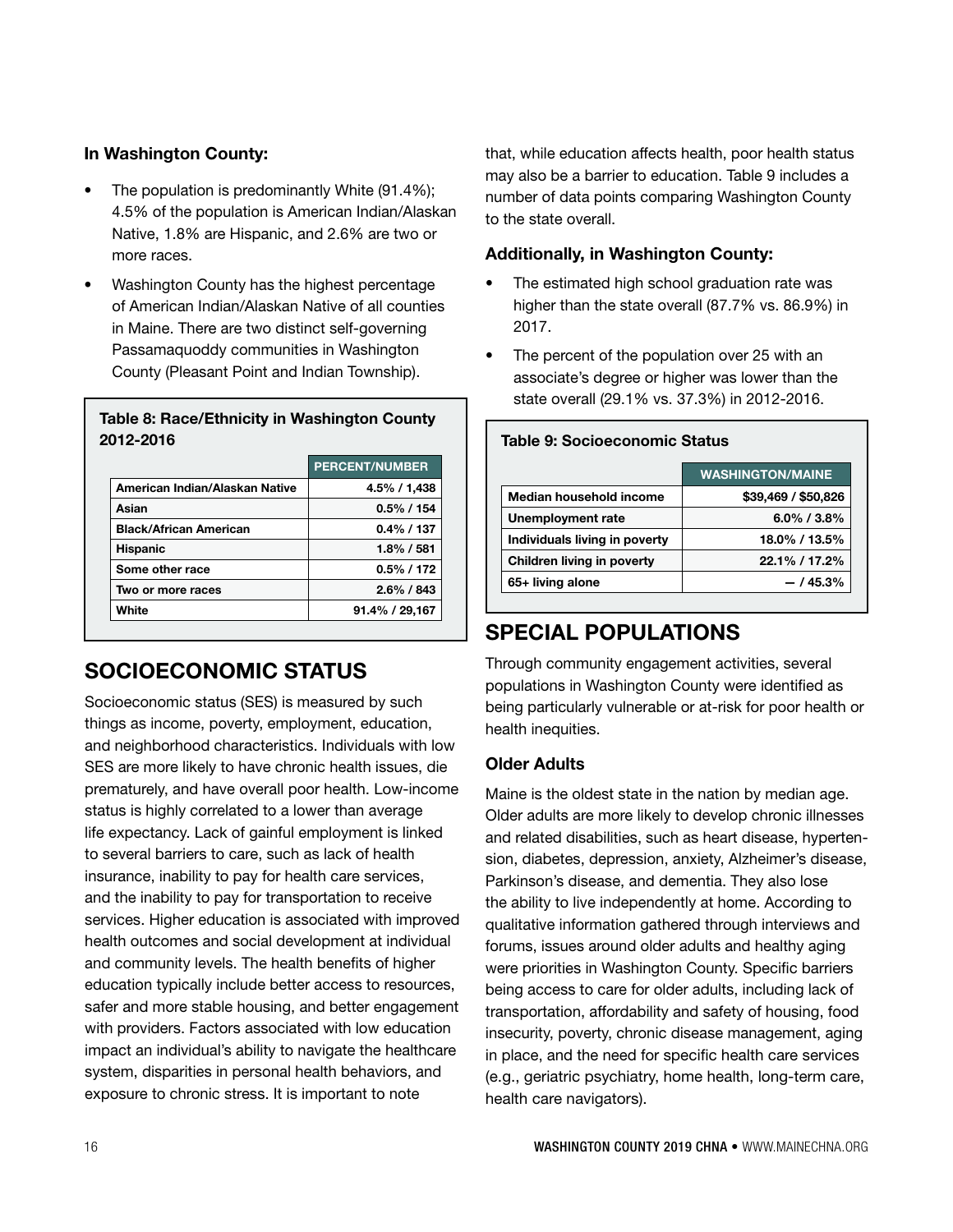#### In Washington County:

- The population is predominantly White (91.4%); 4.5% of the population is American Indian/Alaskan Native, 1.8% are Hispanic, and 2.6% are two or more races.
- Washington County has the highest percentage of American Indian/Alaskan Native of all counties in Maine. There are two distinct self-governing Passamaquoddy communities in Washington County (Pleasant Point and Indian Township).

#### Table 8: Race/Ethnicity in Washington County 2012-2016

|                                | <b>PERCENT/NUMBER</b> |
|--------------------------------|-----------------------|
| American Indian/Alaskan Native | 4.5% / 1,438          |
| Asian                          | $0.5\%$ / 154         |
| <b>Black/African American</b>  | $0.4\%$ / 137         |
| <b>Hispanic</b>                | $1.8\%$ / 581         |
| Some other race                | $0.5\%$ / 172         |
| Two or more races              | $2.6\%$ / 843         |
| White                          | 91.4% / 29,167        |

## SOCIOECONOMIC STATUS

Socioeconomic status (SES) is measured by such things as income, poverty, employment, education, and neighborhood characteristics. Individuals with low SES are more likely to have chronic health issues, die prematurely, and have overall poor health. Low-income status is highly correlated to a lower than average life expectancy. Lack of gainful employment is linked to several barriers to care, such as lack of health insurance, inability to pay for health care services, and the inability to pay for transportation to receive services. Higher education is associated with improved health outcomes and social development at individual and community levels. The health benefits of higher education typically include better access to resources, safer and more stable housing, and better engagement with providers. Factors associated with low education impact an individual's ability to navigate the healthcare system, disparities in personal health behaviors, and exposure to chronic stress. It is important to note

that, while education affects health, poor health status may also be a barrier to education. Table 9 includes a number of data points comparing Washington County to the state overall.

#### Additionally, in Washington County:

- The estimated high school graduation rate was higher than the state overall (87.7% vs. 86.9%) in 2017.
- The percent of the population over 25 with an associate's degree or higher was lower than the state overall (29.1% vs. 37.3%) in 2012-2016.

|                               | <b>WASHINGTON/MAINE</b> |
|-------------------------------|-------------------------|
| Median household income       | \$39,469 / \$50,826     |
| Unemployment rate             | $6.0\%$ / $3.8\%$       |
| Individuals living in poverty | 18.0% / 13.5%           |
| Children living in poverty    | 22.1% / 17.2%           |
| 65+ living alone              | $-145.3%$               |

#### Table 9: Socioeconomic Status

## SPECIAL POPULATIONS

Through community engagement activities, several populations in Washington County were identified as being particularly vulnerable or at-risk for poor health or health inequities.

#### Older Adults

Maine is the oldest state in the nation by median age. Older adults are more likely to develop chronic illnesses and related disabilities, such as heart disease, hypertension, diabetes, depression, anxiety, Alzheimer's disease, Parkinson's disease, and dementia. They also lose the ability to live independently at home. According to qualitative information gathered through interviews and forums, issues around older adults and healthy aging were priorities in Washington County. Specific barriers being access to care for older adults, including lack of transportation, affordability and safety of housing, food insecurity, poverty, chronic disease management, aging in place, and the need for specific health care services (e.g., geriatric psychiatry, home health, long-term care, health care navigators).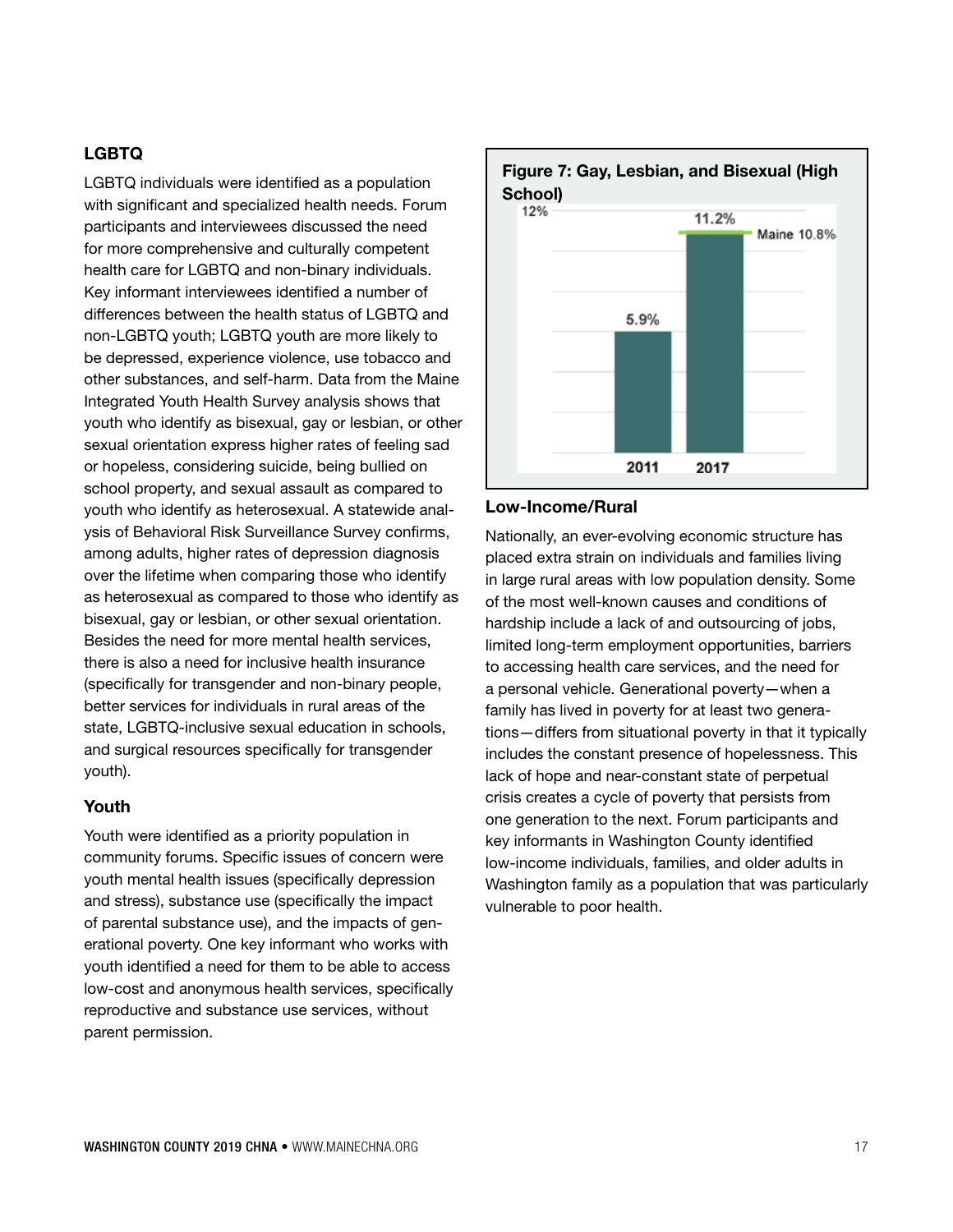### LGBTQ

LGBTQ individuals were identified as a population with significant and specialized health needs. Forum participants and interviewees discussed the need for more comprehensive and culturally competent health care for LGBTQ and non-binary individuals. Key informant interviewees identified a number of differences between the health status of LGBTQ and non-LGBTQ youth; LGBTQ youth are more likely to be depressed, experience violence, use tobacco and other substances, and self-harm. Data from the Maine Integrated Youth Health Survey analysis shows that youth who identify as bisexual, gay or lesbian, or other sexual orientation express higher rates of feeling sad or hopeless, considering suicide, being bullied on school property, and sexual assault as compared to youth who identify as heterosexual. A statewide analysis of Behavioral Risk Surveillance Survey confirms, among adults, higher rates of depression diagnosis over the lifetime when comparing those who identify as heterosexual as compared to those who identify as bisexual, gay or lesbian, or other sexual orientation. Besides the need for more mental health services, there is also a need for inclusive health insurance (specifically for transgender and non-binary people, better services for individuals in rural areas of the state, LGBTQ-inclusive sexual education in schools, and surgical resources specifically for transgender youth).

#### Youth

Youth were identified as a priority population in community forums. Specific issues of concern were youth mental health issues (specifically depression and stress), substance use (specifically the impact of parental substance use), and the impacts of generational poverty. One key informant who works with youth identified a need for them to be able to access low-cost and anonymous health services, specifically reproductive and substance use services, without parent permission.



#### Low-Income/Rural

Nationally, an ever-evolving economic structure has placed extra strain on individuals and families living in large rural areas with low population density. Some of the most well-known causes and conditions of hardship include a lack of and outsourcing of jobs, limited long-term employment opportunities, barriers to accessing health care services, and the need for a personal vehicle. Generational poverty—when a family has lived in poverty for at least two generations—differs from situational poverty in that it typically includes the constant presence of hopelessness. This lack of hope and near-constant state of perpetual crisis creates a cycle of poverty that persists from one generation to the next. Forum participants and key informants in Washington County identified low-income individuals, families, and older adults in Washington family as a population that was particularly vulnerable to poor health.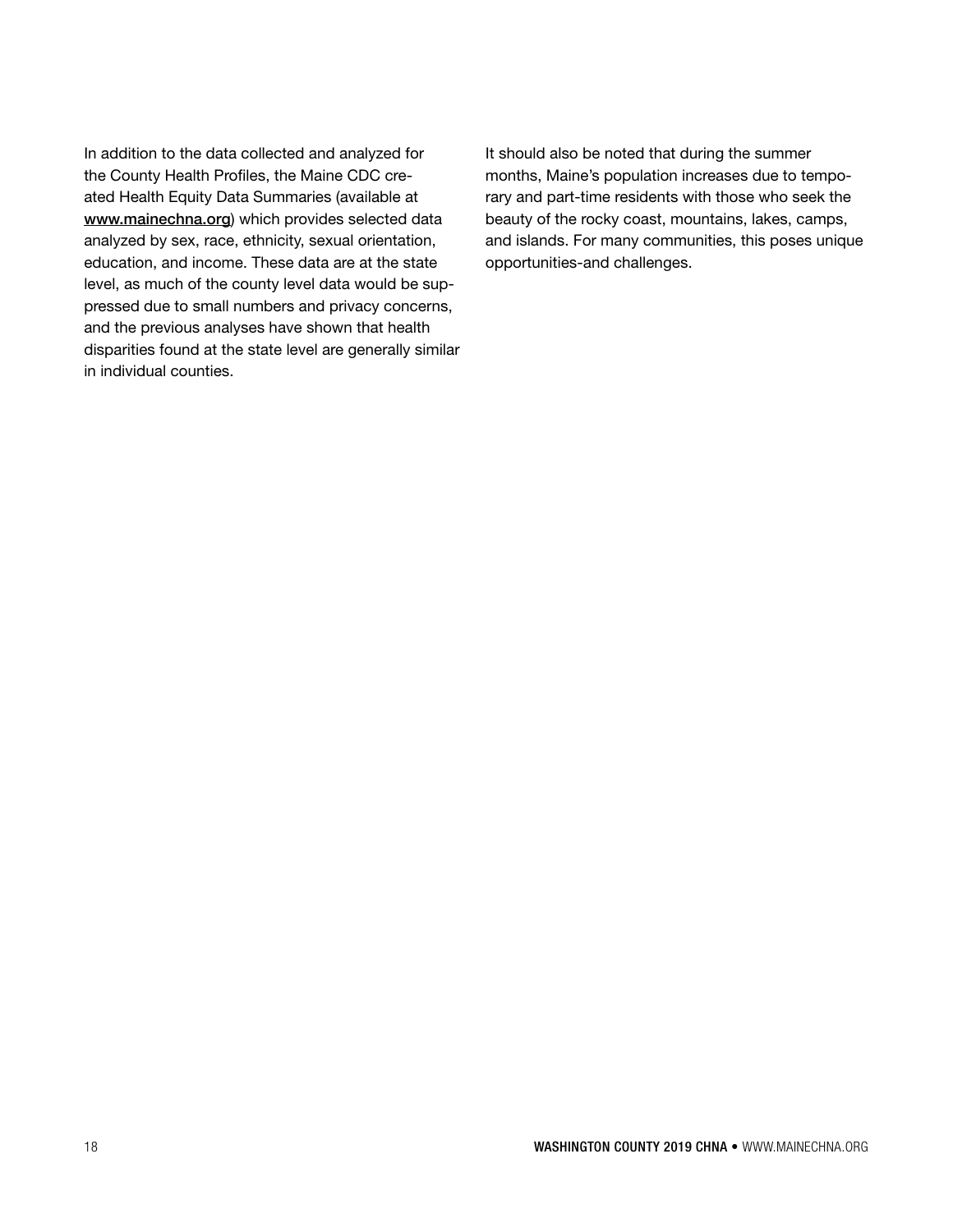In addition to the data collected and analyzed for the County Health Profiles, the Maine CDC created Health Equity Data Summaries (available at www.mainechna.org) which provides selected data analyzed by sex, race, ethnicity, sexual orientation, education, and income. These data are at the state level, as much of the county level data would be suppressed due to small numbers and privacy concerns, and the previous analyses have shown that health disparities found at the state level are generally similar in individual counties.

It should also be noted that during the summer months, Maine's population increases due to temporary and part-time residents with those who seek the beauty of the rocky coast, mountains, lakes, camps, and islands. For many communities, this poses unique opportunities-and challenges.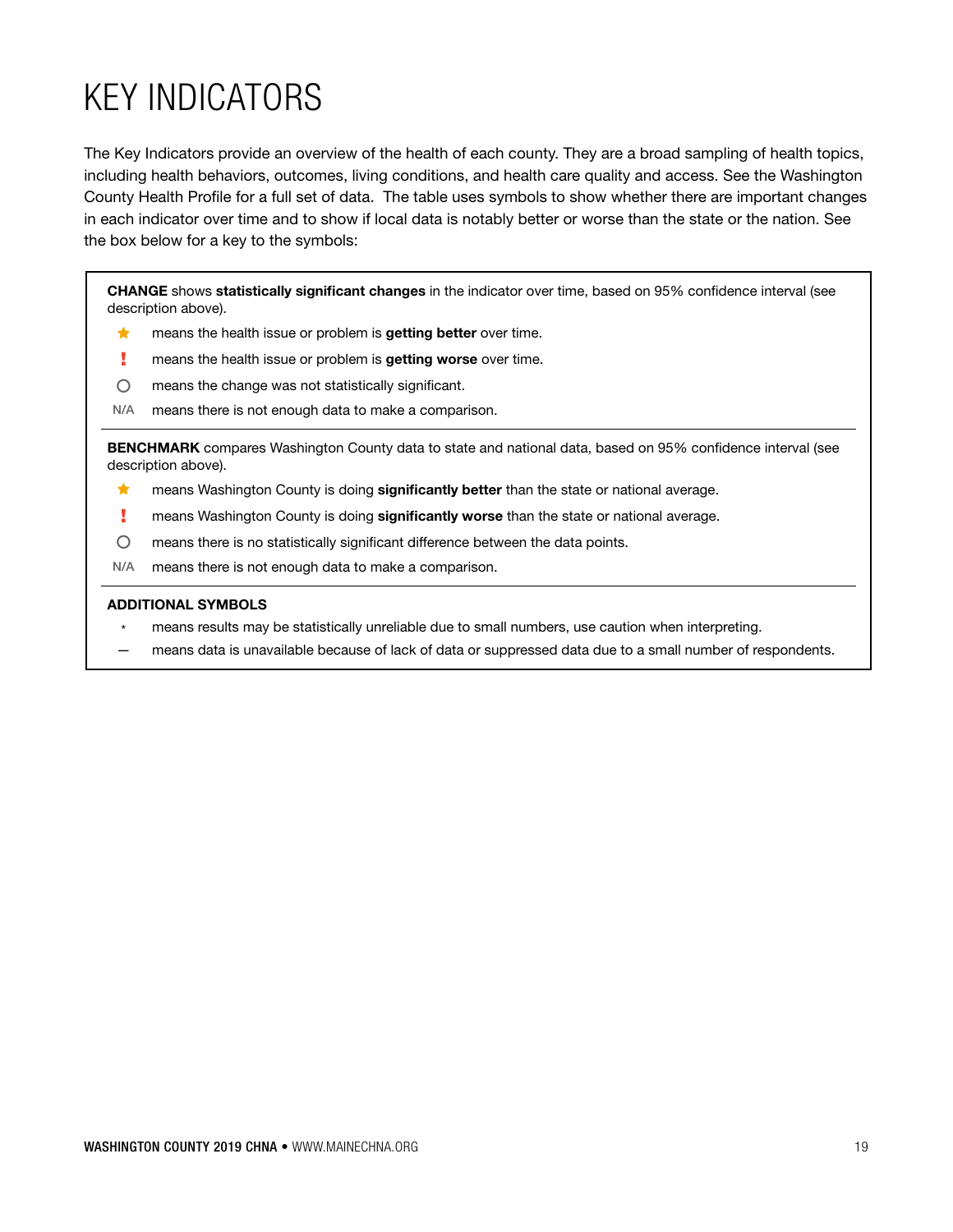## KEY INDICATORS

The Key Indicators provide an overview of the health of each county. They are a broad sampling of health topics, including health behaviors, outcomes, living conditions, and health care quality and access. See the Washington County Health Profile for a full set of data. The table uses symbols to show whether there are important changes in each indicator over time and to show if local data is notably better or worse than the state or the nation. See the box below for a key to the symbols:

CHANGE shows statistically significant changes in the indicator over time, based on 95% confidence interval (see description above).

- **the means the health issue or problem is getting better over time.**
- **!** means the health issue or problem is **getting worse** over time.
- means the change was not statistically significant.
- N/A means there is not enough data to make a comparison.

BENCHMARK compares Washington County data to state and national data, based on 95% confidence interval (see description above).

- **M** means Washington County is doing **significantly better** than the state or national average.
- **!** means Washington County is doing **significantly worse** than the state or national average.
- means there is no statistically significant difference between the data points.
- N/A means there is not enough data to make a comparison.

#### ADDITIONAL SYMBOLS

- \* means results may be statistically unreliable due to small numbers, use caution when interpreting.
- means data is unavailable because of lack of data or suppressed data due to a small number of respondents.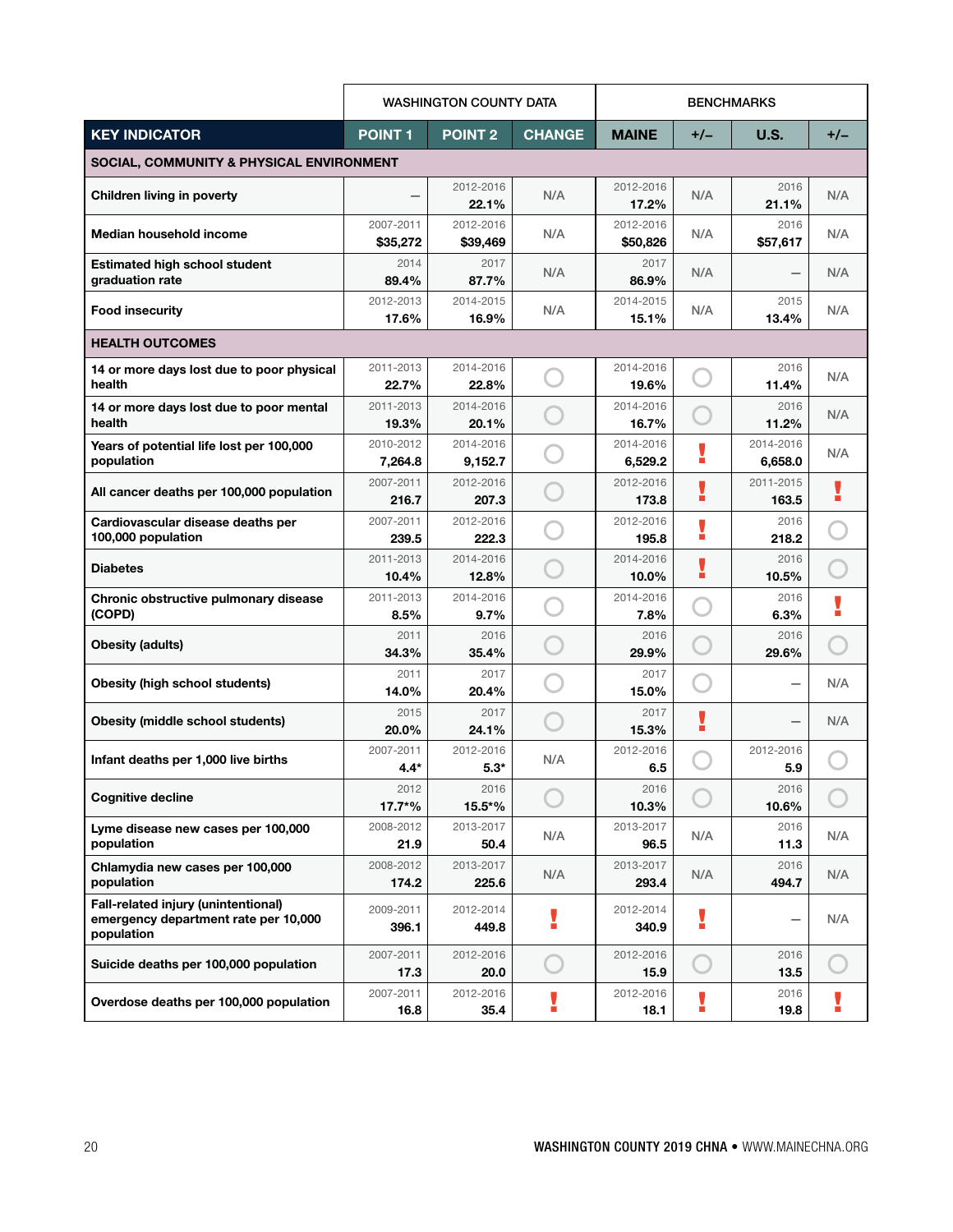|                                                                                           | <b>WASHINGTON COUNTY DATA</b> |                       | <b>BENCHMARKS</b> |                       |        |                      |       |
|-------------------------------------------------------------------------------------------|-------------------------------|-----------------------|-------------------|-----------------------|--------|----------------------|-------|
| <b>KEY INDICATOR</b>                                                                      | <b>POINT 1</b>                | <b>POINT 2</b>        | <b>CHANGE</b>     | <b>MAINE</b>          | $+/-$  | U.S.                 | $+/-$ |
| SOCIAL, COMMUNITY & PHYSICAL ENVIRONMENT                                                  |                               |                       |                   |                       |        |                      |       |
| Children living in poverty                                                                |                               | 2012-2016<br>22.1%    | N/A               | 2012-2016<br>17.2%    | N/A    | 2016<br>21.1%        | N/A   |
| Median household income                                                                   | 2007-2011<br>\$35,272         | 2012-2016<br>\$39,469 | N/A               | 2012-2016<br>\$50,826 | N/A    | 2016<br>\$57,617     | N/A   |
| <b>Estimated high school student</b><br>graduation rate                                   | 2014<br>89.4%                 | 2017<br>87.7%         | N/A               | 2017<br>86.9%         | N/A    |                      | N/A   |
| <b>Food insecurity</b>                                                                    | 2012-2013<br>17.6%            | 2014-2015<br>16.9%    | N/A               | 2014-2015<br>15.1%    | N/A    | 2015<br>13.4%        | N/A   |
| <b>HEALTH OUTCOMES</b>                                                                    |                               |                       |                   |                       |        |                      |       |
| 14 or more days lost due to poor physical<br>health                                       | 2011-2013<br>22.7%            | 2014-2016<br>22.8%    |                   | 2014-2016<br>19.6%    |        | 2016<br>11.4%        | N/A   |
| 14 or more days lost due to poor mental<br>health                                         | 2011-2013<br>19.3%            | 2014-2016<br>20.1%    |                   | 2014-2016<br>16.7%    |        | 2016<br>11.2%        | N/A   |
| Years of potential life lost per 100,000<br>population                                    | 2010-2012<br>7,264.8          | 2014-2016<br>9,152.7  |                   | 2014-2016<br>6,529.2  | ш      | 2014-2016<br>6,658.0 | N/A   |
| All cancer deaths per 100,000 population                                                  | 2007-2011<br>216.7            | 2012-2016<br>207.3    |                   | 2012-2016<br>173.8    | ñ      | 2011-2015<br>163.5   | ñ.    |
| Cardiovascular disease deaths per<br>100,000 population                                   | 2007-2011<br>239.5            | 2012-2016<br>222.3    |                   | 2012-2016<br>195.8    | ÷      | 2016<br>218.2        |       |
| <b>Diabetes</b>                                                                           | 2011-2013<br>10.4%            | 2014-2016<br>12.8%    |                   | 2014-2016<br>10.0%    | ¥      | 2016<br>10.5%        |       |
| Chronic obstructive pulmonary disease<br>(COPD)                                           | 2011-2013<br>8.5%             | 2014-2016<br>9.7%     |                   | 2014-2016<br>7.8%     |        | 2016<br>6.3%         |       |
| <b>Obesity (adults)</b>                                                                   | 2011<br>34.3%                 | 2016<br>35.4%         |                   | 2016<br>29.9%         |        | 2016<br>29.6%        |       |
| <b>Obesity (high school students)</b>                                                     | 2011<br>14.0%                 | 2017<br>20.4%         |                   | 2017<br>15.0%         |        |                      | N/A   |
| <b>Obesity (middle school students)</b>                                                   | 2015<br>20.0%                 | 2017<br>24.1%         |                   | 2017<br>15.3%         | V<br>ň |                      | N/A   |
| Infant deaths per 1,000 live births                                                       | 2007-2011<br>$4.4*$           | 2012-2016<br>$5.3*$   | N/A               | 2012-2016<br>6.5      |        | 2012-2016<br>5.9     |       |
| <b>Cognitive decline</b>                                                                  | 2012<br>$17.7*%$              | 2016<br>15.5*%        |                   | 2016<br>10.3%         |        | 2016<br>10.6%        |       |
| Lyme disease new cases per 100,000<br>population                                          | 2008-2012<br>21.9             | 2013-2017<br>50.4     | N/A               | 2013-2017<br>96.5     | N/A    | 2016<br>11.3         | N/A   |
| Chlamydia new cases per 100,000<br>population                                             | 2008-2012<br>174.2            | 2013-2017<br>225.6    | N/A               | 2013-2017<br>293.4    | N/A    | 2016<br>494.7        | N/A   |
| Fall-related injury (unintentional)<br>emergency department rate per 10,000<br>population | 2009-2011<br>396.1            | 2012-2014<br>449.8    | ū                 | 2012-2014<br>340.9    | ¥      |                      | N/A   |
| Suicide deaths per 100,000 population                                                     | 2007-2011<br>17.3             | 2012-2016<br>20.0     |                   | 2012-2016<br>15.9     |        | 2016<br>13.5         |       |
| Overdose deaths per 100,000 population                                                    | 2007-2011<br>16.8             | 2012-2016<br>35.4     | ñ                 | 2012-2016<br>18.1     | Y      | 2016<br>19.8         | Y     |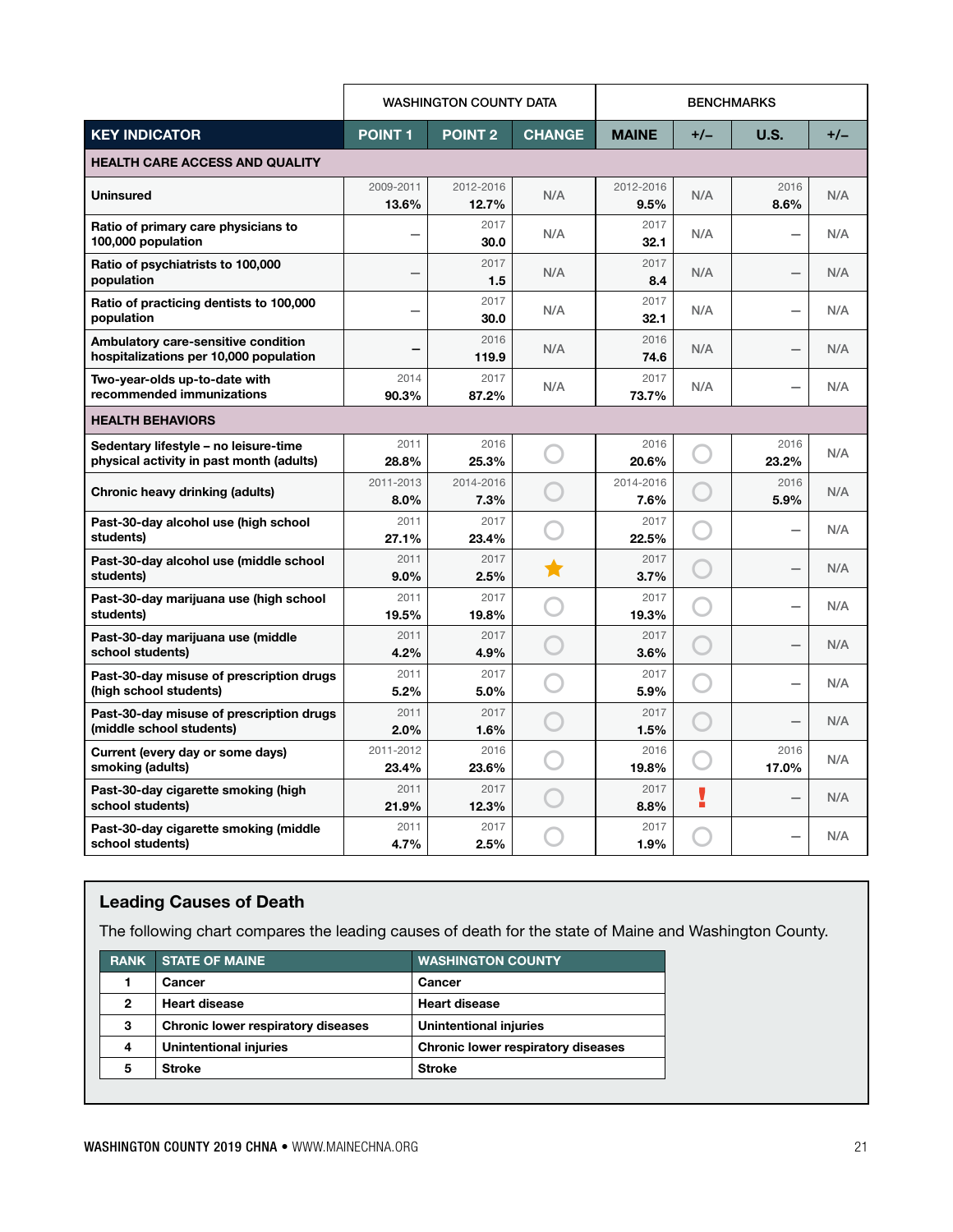|                                                                                   | <b>WASHINGTON COUNTY DATA</b> |                    | <b>BENCHMARKS</b> |                   |       |               |       |
|-----------------------------------------------------------------------------------|-------------------------------|--------------------|-------------------|-------------------|-------|---------------|-------|
| <b>KEY INDICATOR</b>                                                              | <b>POINT 1</b>                | <b>POINT 2</b>     | <b>CHANGE</b>     | <b>MAINE</b>      | $+/-$ | <b>U.S.</b>   | $+/-$ |
| <b>HEALTH CARE ACCESS AND QUALITY</b>                                             |                               |                    |                   |                   |       |               |       |
| <b>Uninsured</b>                                                                  | 2009-2011<br>13.6%            | 2012-2016<br>12.7% | N/A               | 2012-2016<br>9.5% | N/A   | 2016<br>8.6%  | N/A   |
| Ratio of primary care physicians to<br>100,000 population                         |                               | 2017<br>30.0       | N/A               | 2017<br>32.1      | N/A   |               | N/A   |
| Ratio of psychiatrists to 100,000<br>population                                   |                               | 2017<br>1.5        | N/A               | 2017<br>8.4       | N/A   |               | N/A   |
| Ratio of practicing dentists to 100,000<br>population                             |                               | 2017<br>30.0       | N/A               | 2017<br>32.1      | N/A   |               | N/A   |
| Ambulatory care-sensitive condition<br>hospitalizations per 10,000 population     |                               | 2016<br>119.9      | N/A               | 2016<br>74.6      | N/A   |               | N/A   |
| Two-year-olds up-to-date with<br>recommended immunizations                        | 2014<br>90.3%                 | 2017<br>87.2%      | N/A               | 2017<br>73.7%     | N/A   |               | N/A   |
| <b>HEALTH BEHAVIORS</b>                                                           |                               |                    |                   |                   |       |               |       |
| Sedentary lifestyle - no leisure-time<br>physical activity in past month (adults) | 2011<br>28.8%                 | 2016<br>25.3%      |                   | 2016<br>20.6%     |       | 2016<br>23.2% | N/A   |
| Chronic heavy drinking (adults)                                                   | 2011-2013<br>8.0%             | 2014-2016<br>7.3%  |                   | 2014-2016<br>7.6% |       | 2016<br>5.9%  | N/A   |
| Past-30-day alcohol use (high school<br>students)                                 | 2011<br>27.1%                 | 2017<br>23.4%      |                   | 2017<br>22.5%     |       |               | N/A   |
| Past-30-day alcohol use (middle school<br>students)                               | 2011<br>9.0%                  | 2017<br>2.5%       |                   | 2017<br>3.7%      |       |               | N/A   |
| Past-30-day marijuana use (high school<br>students)                               | 2011<br>19.5%                 | 2017<br>19.8%      |                   | 2017<br>19.3%     |       |               | N/A   |
| Past-30-day marijuana use (middle<br>school students)                             | 2011<br>4.2%                  | 2017<br>4.9%       |                   | 2017<br>3.6%      |       |               | N/A   |
| Past-30-day misuse of prescription drugs<br>(high school students)                | 2011<br>5.2%                  | 2017<br>5.0%       |                   | 2017<br>5.9%      |       |               | N/A   |
| Past-30-day misuse of prescription drugs<br>(middle school students)              | 2011<br>2.0%                  | 2017<br>1.6%       |                   | 2017<br>1.5%      |       |               | N/A   |
| Current (every day or some days)<br>smoking (adults)                              | 2011-2012<br>23.4%            | 2016<br>23.6%      |                   | 2016<br>19.8%     |       | 2016<br>17.0% | N/A   |
| Past-30-day cigarette smoking (high<br>school students)                           | 2011<br>21.9%                 | 2017<br>12.3%      |                   | 2017<br>8.8%      | Y     |               | N/A   |
| Past-30-day cigarette smoking (middle<br>school students)                         | 2011<br>4.7%                  | 2017<br>2.5%       |                   | 2017<br>1.9%      |       |               | N/A   |

### Leading Causes of Death

The following chart compares the leading causes of death for the state of Maine and Washington County.

|   | <b>RANK STATE OF MAINE</b>                | <b>WASHINGTON COUNTY</b>           |
|---|-------------------------------------------|------------------------------------|
|   | Cancer                                    | Cancer                             |
| 2 | <b>Heart disease</b>                      | <b>Heart disease</b>               |
| 3 | <b>Chronic lower respiratory diseases</b> | <b>Unintentional injuries</b>      |
| 4 | <b>Unintentional injuries</b>             | Chronic lower respiratory diseases |
| 5 | <b>Stroke</b>                             | <b>Stroke</b>                      |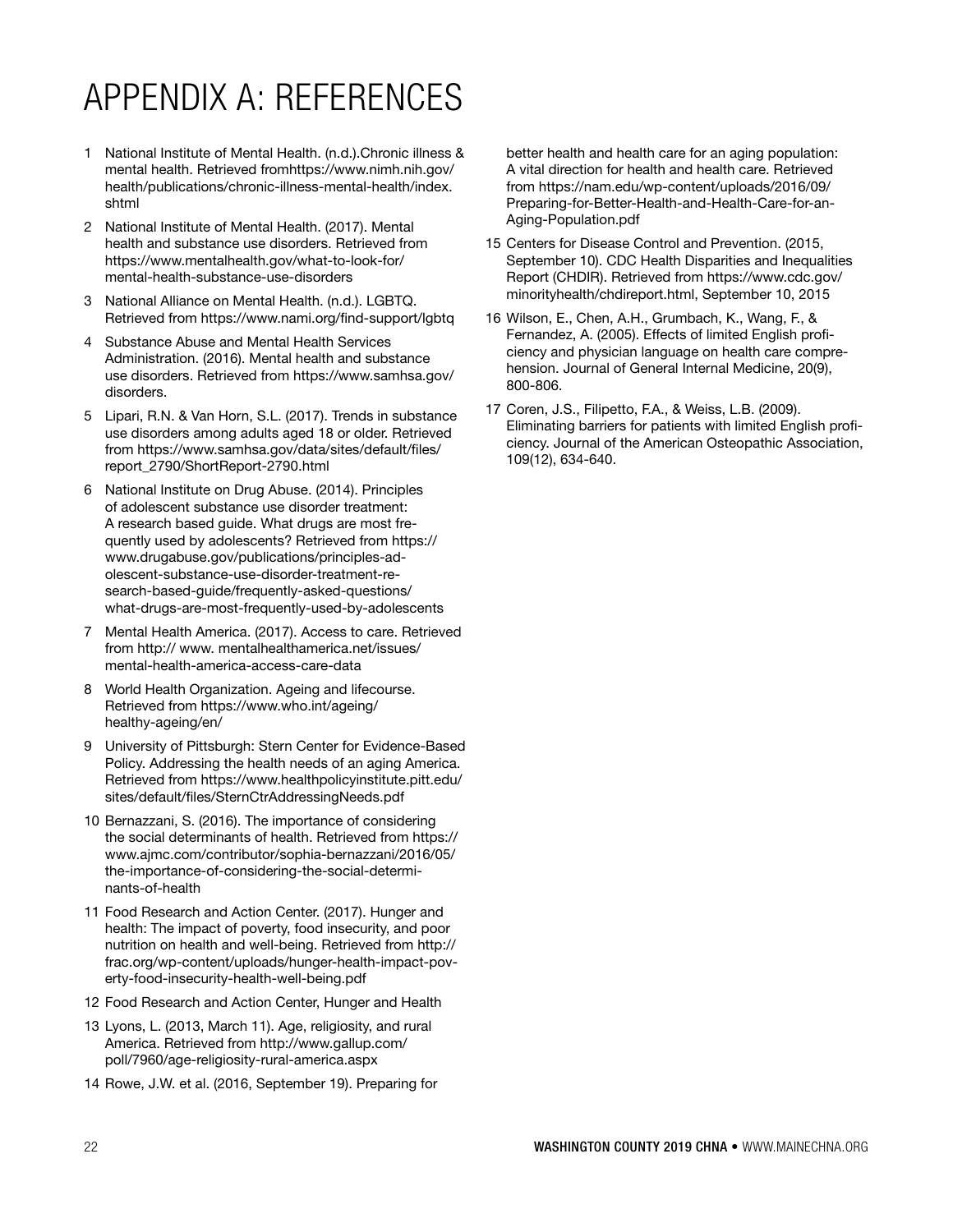## APPENDIX A: REFERENCES

- 1 National Institute of Mental Health. (n.d.).Chronic illness & mental health. Retrieved fromhttps://www.nimh.nih.gov/ health/publications/chronic-illness-mental-health/index. shtml
- 2 National Institute of Mental Health. (2017). Mental health and substance use disorders. Retrieved from https://www.mentalhealth.gov/what-to-look-for/ mental-health-substance-use-disorders
- 3 National Alliance on Mental Health. (n.d.). LGBTQ. Retrieved from https://www.nami.org/find-support/lgbtq
- 4 Substance Abuse and Mental Health Services Administration. (2016). Mental health and substance use disorders. Retrieved from https://www.samhsa.gov/ disorders.
- 5 Lipari, R.N. & Van Horn, S.L. (2017). Trends in substance use disorders among adults aged 18 or older. Retrieved from https://www.samhsa.gov/data/sites/default/files/ report\_2790/ShortReport-2790.html
- 6 National Institute on Drug Abuse. (2014). Principles of adolescent substance use disorder treatment: A research based guide. What drugs are most frequently used by adolescents? Retrieved from https:// www.drugabuse.gov/publications/principles-adolescent-substance-use-disorder-treatment-research-based-guide/frequently-asked-questions/ what-drugs-are-most-frequently-used-by-adolescents
- 7 Mental Health America. (2017). Access to care. Retrieved from http:// www. mentalhealthamerica.net/issues/ mental-health-america-access-care-data
- 8 World Health Organization. Ageing and lifecourse. Retrieved from https://www.who.int/ageing/ healthy-ageing/en/
- 9 University of Pittsburgh: Stern Center for Evidence-Based Policy. Addressing the health needs of an aging America. Retrieved from https://www.healthpolicyinstitute.pitt.edu/ sites/default/files/SternCtrAddressingNeeds.pdf
- 10 Bernazzani, S. (2016). The importance of considering the social determinants of health. Retrieved from https:// www.ajmc.com/contributor/sophia-bernazzani/2016/05/ the-importance-of-considering-the-social-determinants-of-health
- 11 Food Research and Action Center. (2017). Hunger and health: The impact of poverty, food insecurity, and poor nutrition on health and well-being. Retrieved from http:// frac.org/wp-content/uploads/hunger-health-impact-poverty-food-insecurity-health-well-being.pdf
- 12 Food Research and Action Center, Hunger and Health
- 13 Lyons, L. (2013, March 11). Age, religiosity, and rural America. Retrieved from http://www.gallup.com/ poll/7960/age-religiosity-rural-america.aspx
- 14 Rowe, J.W. et al. (2016, September 19). Preparing for

better health and health care for an aging population: A vital direction for health and health care. Retrieved from https://nam.edu/wp-content/uploads/2016/09/ Preparing-for-Better-Health-and-Health-Care-for-an-Aging-Population.pdf

- 15 Centers for Disease Control and Prevention. (2015, September 10). CDC Health Disparities and Inequalities Report (CHDIR). Retrieved from https://www.cdc.gov/ minorityhealth/chdireport.html, September 10, 2015
- 16 Wilson, E., Chen, A.H., Grumbach, K., Wang, F., & Fernandez, A. (2005). Effects of limited English proficiency and physician language on health care comprehension. Journal of General Internal Medicine, 20(9), 800-806.
- 17 Coren, J.S., Filipetto, F.A., & Weiss, L.B. (2009). Eliminating barriers for patients with limited English proficiency. Journal of the American Osteopathic Association, 109(12), 634-640.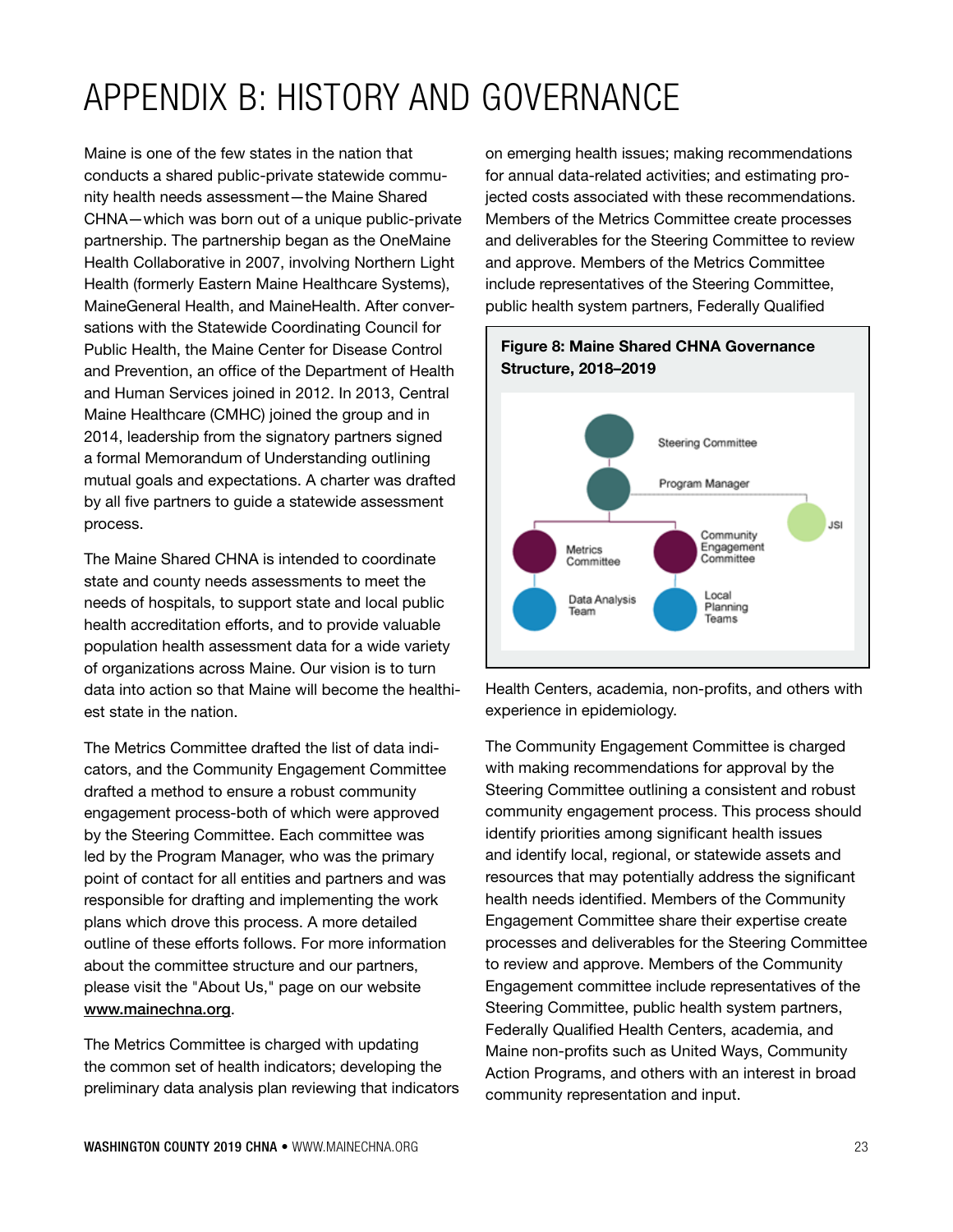## APPENDIX B: HISTORY AND GOVERNANCE

Maine is one of the few states in the nation that conducts a shared public-private statewide community health needs assessment—the Maine Shared CHNA—which was born out of a unique public-private partnership. The partnership began as the OneMaine Health Collaborative in 2007, involving Northern Light Health (formerly Eastern Maine Healthcare Systems), MaineGeneral Health, and MaineHealth. After conversations with the Statewide Coordinating Council for Public Health, the Maine Center for Disease Control and Prevention, an office of the Department of Health and Human Services joined in 2012. In 2013, Central Maine Healthcare (CMHC) joined the group and in 2014, leadership from the signatory partners signed a formal Memorandum of Understanding outlining mutual goals and expectations. A charter was drafted by all five partners to guide a statewide assessment process.

The Maine Shared CHNA is intended to coordinate state and county needs assessments to meet the needs of hospitals, to support state and local public health accreditation efforts, and to provide valuable population health assessment data for a wide variety of organizations across Maine. Our vision is to turn data into action so that Maine will become the healthiest state in the nation.

The Metrics Committee drafted the list of data indicators, and the Community Engagement Committee drafted a method to ensure a robust community engagement process-both of which were approved by the Steering Committee. Each committee was led by the Program Manager, who was the primary point of contact for all entities and partners and was responsible for drafting and implementing the work plans which drove this process. A more detailed outline of these efforts follows. For more information about the committee structure and our partners, please visit the "About Us," page on our website www.mainechna.org.

The Metrics Committee is charged with updating the common set of health indicators; developing the preliminary data analysis plan reviewing that indicators

on emerging health issues; making recommendations for annual data-related activities; and estimating projected costs associated with these recommendations. Members of the Metrics Committee create processes and deliverables for the Steering Committee to review and approve. Members of the Metrics Committee include representatives of the Steering Committee, public health system partners, Federally Qualified



Health Centers, academia, non-profits, and others with experience in epidemiology.

The Community Engagement Committee is charged with making recommendations for approval by the Steering Committee outlining a consistent and robust community engagement process. This process should identify priorities among significant health issues and identify local, regional, or statewide assets and resources that may potentially address the significant health needs identified. Members of the Community Engagement Committee share their expertise create processes and deliverables for the Steering Committee to review and approve. Members of the Community Engagement committee include representatives of the Steering Committee, public health system partners, Federally Qualified Health Centers, academia, and Maine non-profits such as United Ways, Community Action Programs, and others with an interest in broad community representation and input.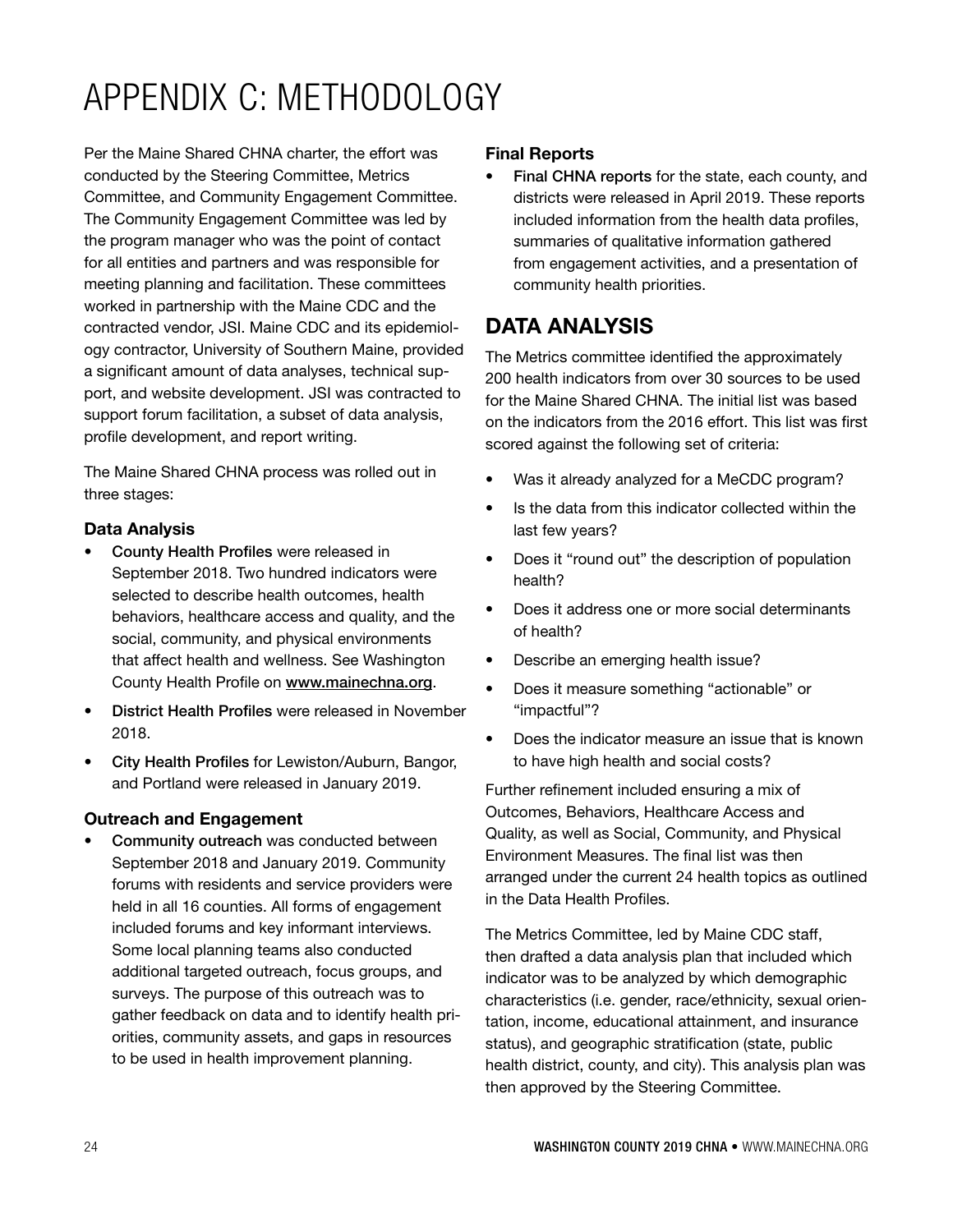## APPENDIX C: METHODOLOGY

Per the Maine Shared CHNA charter, the effort was conducted by the Steering Committee, Metrics Committee, and Community Engagement Committee. The Community Engagement Committee was led by the program manager who was the point of contact for all entities and partners and was responsible for meeting planning and facilitation. These committees worked in partnership with the Maine CDC and the contracted vendor, JSI. Maine CDC and its epidemiology contractor, University of Southern Maine, provided a significant amount of data analyses, technical support, and website development. JSI was contracted to support forum facilitation, a subset of data analysis, profile development, and report writing.

The Maine Shared CHNA process was rolled out in three stages:

#### Data Analysis

- County Health Profiles were released in September 2018. Two hundred indicators were selected to describe health outcomes, health behaviors, healthcare access and quality, and the social, community, and physical environments that affect health and wellness. See Washington County Health Profile on www.mainechna.org.
- District Health Profiles were released in November 2018.
- City Health Profiles for Lewiston/Auburn, Bangor, and Portland were released in January 2019.

### Outreach and Engagement

Community outreach was conducted between September 2018 and January 2019. Community forums with residents and service providers were held in all 16 counties. All forms of engagement included forums and key informant interviews. Some local planning teams also conducted additional targeted outreach, focus groups, and surveys. The purpose of this outreach was to gather feedback on data and to identify health priorities, community assets, and gaps in resources to be used in health improvement planning.

### Final Reports

• Final CHNA reports for the state, each county, and districts were released in April 2019. These reports included information from the health data profiles, summaries of qualitative information gathered from engagement activities, and a presentation of community health priorities.

### DATA ANALYSIS

The Metrics committee identified the approximately 200 health indicators from over 30 sources to be used for the Maine Shared CHNA. The initial list was based on the indicators from the 2016 effort. This list was first scored against the following set of criteria:

- Was it already analyzed for a MeCDC program?
- Is the data from this indicator collected within the last few years?
- Does it "round out" the description of population health?
- Does it address one or more social determinants of health?
- Describe an emerging health issue?
- Does it measure something "actionable" or "impactful"?
- Does the indicator measure an issue that is known to have high health and social costs?

Further refinement included ensuring a mix of Outcomes, Behaviors, Healthcare Access and Quality, as well as Social, Community, and Physical Environment Measures. The final list was then arranged under the current 24 health topics as outlined in the Data Health Profiles.

The Metrics Committee, led by Maine CDC staff, then drafted a data analysis plan that included which indicator was to be analyzed by which demographic characteristics (i.e. gender, race/ethnicity, sexual orientation, income, educational attainment, and insurance status), and geographic stratification (state, public health district, county, and city). This analysis plan was then approved by the Steering Committee.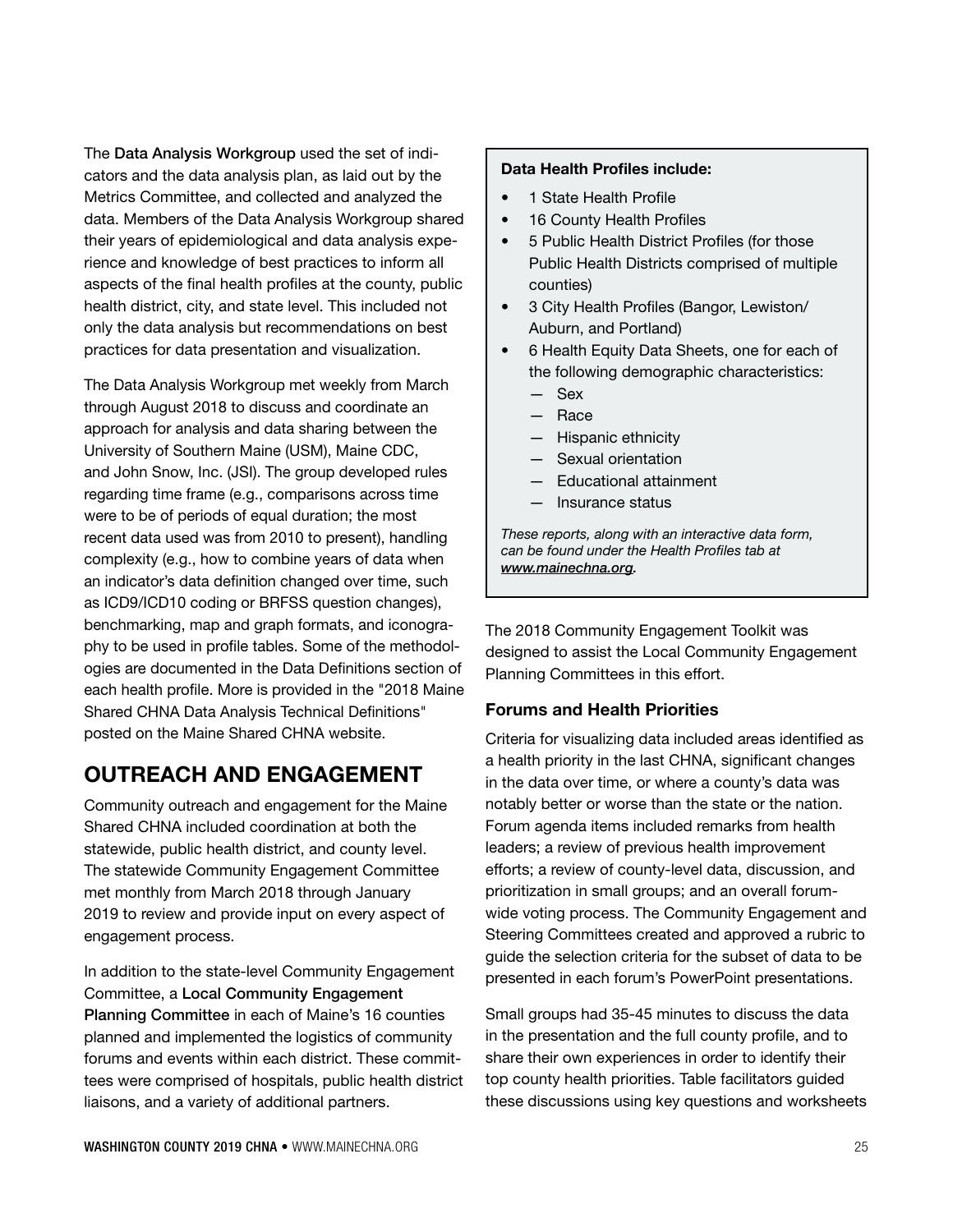The Data Analysis Workgroup used the set of indicators and the data analysis plan, as laid out by the Metrics Committee, and collected and analyzed the data. Members of the Data Analysis Workgroup shared their years of epidemiological and data analysis experience and knowledge of best practices to inform all aspects of the final health profiles at the county, public health district, city, and state level. This included not only the data analysis but recommendations on best practices for data presentation and visualization.

The Data Analysis Workgroup met weekly from March through August 2018 to discuss and coordinate an approach for analysis and data sharing between the University of Southern Maine (USM), Maine CDC, and John Snow, Inc. (JSI). The group developed rules regarding time frame (e.g., comparisons across time were to be of periods of equal duration; the most recent data used was from 2010 to present), handling complexity (e.g., how to combine years of data when an indicator's data definition changed over time, such as ICD9/ICD10 coding or BRFSS question changes), benchmarking, map and graph formats, and iconography to be used in profile tables. Some of the methodologies are documented in the Data Definitions section of each health profile. More is provided in the "2018 Maine Shared CHNA Data Analysis Technical Definitions" posted on the Maine Shared CHNA website.

## OUTREACH AND ENGAGEMENT

Community outreach and engagement for the Maine Shared CHNA included coordination at both the statewide, public health district, and county level. The statewide Community Engagement Committee met monthly from March 2018 through January 2019 to review and provide input on every aspect of engagement process.

In addition to the state-level Community Engagement Committee, a Local Community Engagement Planning Committee in each of Maine's 16 counties planned and implemented the logistics of community forums and events within each district. These committees were comprised of hospitals, public health district liaisons, and a variety of additional partners.

#### Data Health Profiles include:

- 1 State Health Profile
- 16 County Health Profiles
- 5 Public Health District Profiles (for those Public Health Districts comprised of multiple counties)
- 3 City Health Profiles (Bangor, Lewiston/ Auburn, and Portland)
- 6 Health Equity Data Sheets, one for each of the following demographic characteristics:
	- Sex
	- Race
	- Hispanic ethnicity
	- Sexual orientation
	- Educational attainment
	- Insurance status

*These reports, along with an interactive data form, can be found under the Health Profiles tab at www.mainechna.org.* 

The 2018 Community Engagement Toolkit was designed to assist the Local Community Engagement Planning Committees in this effort.

#### Forums and Health Priorities

Criteria for visualizing data included areas identified as a health priority in the last CHNA, significant changes in the data over time, or where a county's data was notably better or worse than the state or the nation. Forum agenda items included remarks from health leaders; a review of previous health improvement efforts; a review of county-level data, discussion, and prioritization in small groups; and an overall forumwide voting process. The Community Engagement and Steering Committees created and approved a rubric to guide the selection criteria for the subset of data to be presented in each forum's PowerPoint presentations.

Small groups had 35-45 minutes to discuss the data in the presentation and the full county profile, and to share their own experiences in order to identify their top county health priorities. Table facilitators guided these discussions using key questions and worksheets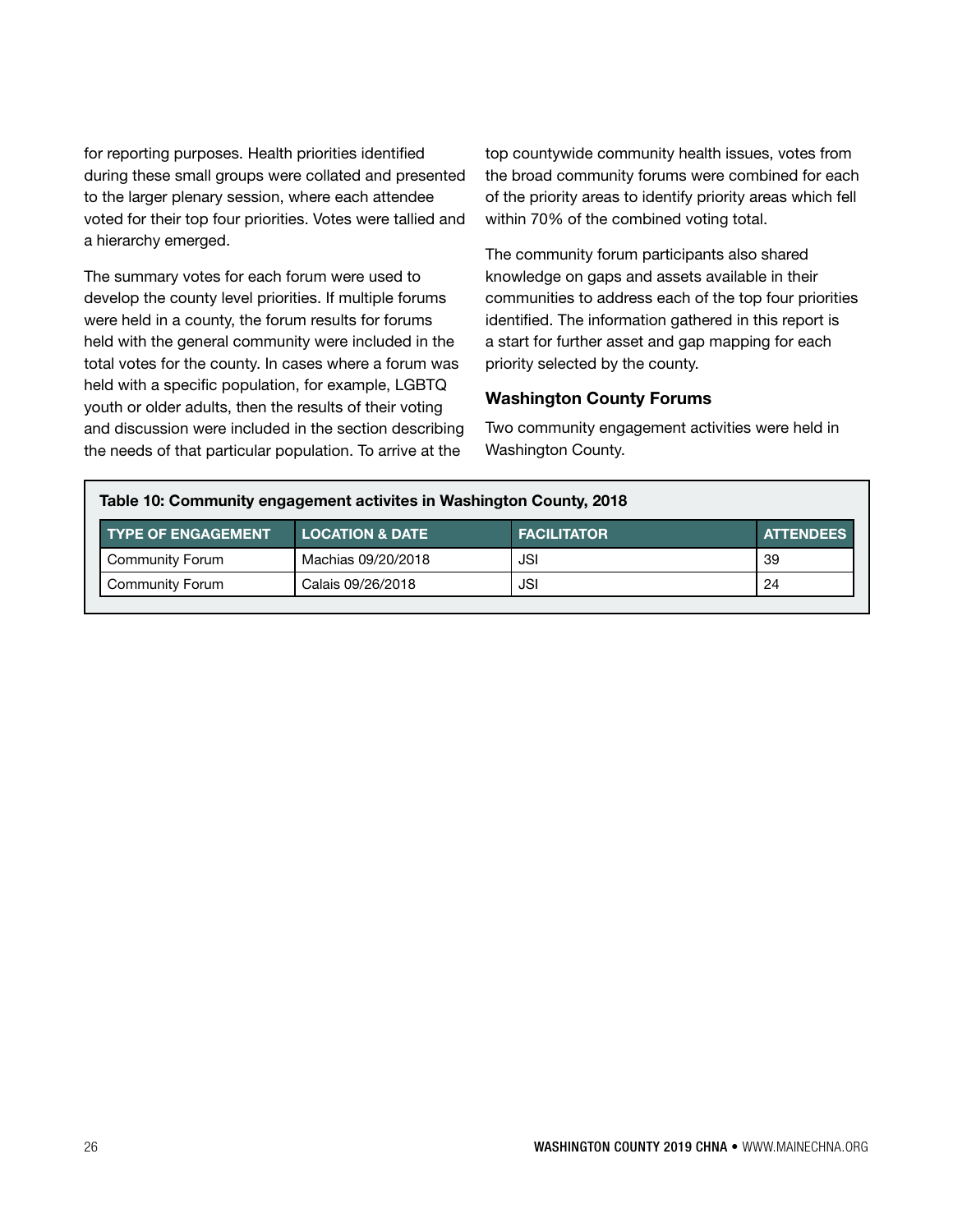for reporting purposes. Health priorities identified during these small groups were collated and presented to the larger plenary session, where each attendee voted for their top four priorities. Votes were tallied and a hierarchy emerged.

The summary votes for each forum were used to develop the county level priorities. If multiple forums were held in a county, the forum results for forums held with the general community were included in the total votes for the county. In cases where a forum was held with a specific population, for example, LGBTQ youth or older adults, then the results of their voting and discussion were included in the section describing the needs of that particular population. To arrive at the

top countywide community health issues, votes from the broad community forums were combined for each of the priority areas to identify priority areas which fell within 70% of the combined voting total.

The community forum participants also shared knowledge on gaps and assets available in their communities to address each of the top four priorities identified. The information gathered in this report is a start for further asset and gap mapping for each priority selected by the county.

#### Washington County Forums

Two community engagement activities were held in Washington County.

| Table 10: Community engagement activites in Washington County, 2018 |                            |                    |                  |
|---------------------------------------------------------------------|----------------------------|--------------------|------------------|
| <b>TYPE OF ENGAGEMENT</b>                                           | <b>LOCATION &amp; DATE</b> | <b>FACILITATOR</b> | <b>ATTENDEES</b> |
| Community Forum                                                     | Machias 09/20/2018         | JSI                | 39               |
| Community Forum                                                     | Calais 09/26/2018          | JSI                | 24               |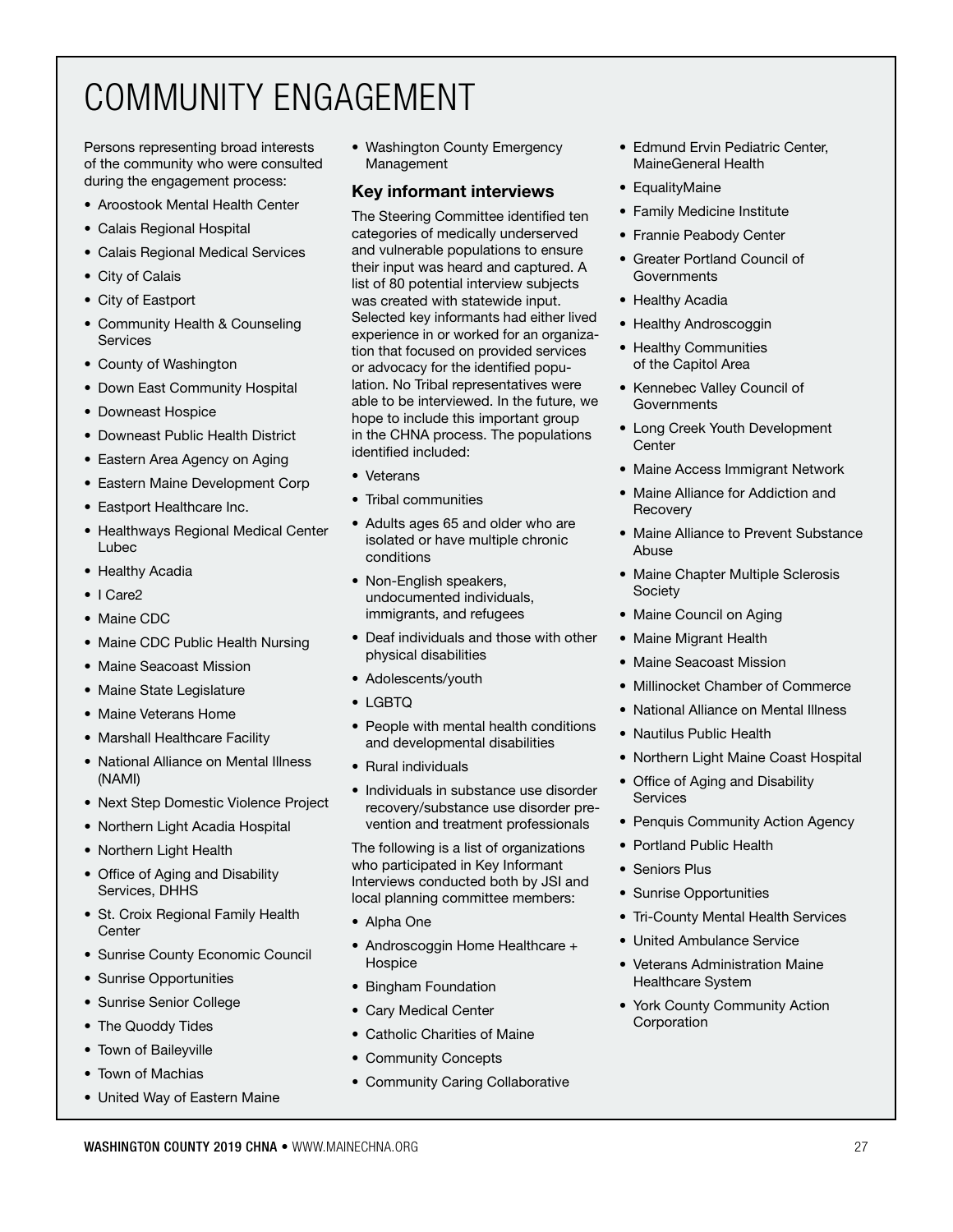## COMMUNITY ENGAGEMENT

Persons representing broad interests of the community who were consulted during the engagement process:

- Aroostook Mental Health Center
- Calais Regional Hospital
- Calais Regional Medical Services
- City of Calais
- City of Eastport
- Community Health & Counseling **Services**
- County of Washington
- Down East Community Hospital
- Downeast Hospice
- Downeast Public Health District
- Eastern Area Agency on Aging
- Eastern Maine Development Corp
- Eastport Healthcare Inc.
- Healthways Regional Medical Center Lubec
- Healthy Acadia
- I Care2
- Maine CDC
- Maine CDC Public Health Nursing
- Maine Seacoast Mission
- Maine State Legislature
- Maine Veterans Home
- Marshall Healthcare Facility
- National Alliance on Mental Illness (NAMI)
- Next Step Domestic Violence Project
- Northern Light Acadia Hospital
- Northern Light Health
- Office of Aging and Disability Services, DHHS
- St. Croix Regional Family Health **Center**
- Sunrise County Economic Council
- Sunrise Opportunities
- Sunrise Senior College
- The Quoddy Tides
- Town of Baileyville
- Town of Machias
- United Way of Eastern Maine

• Washington County Emergency Management

#### Key informant interviews

The Steering Committee identified ten categories of medically underserved and vulnerable populations to ensure their input was heard and captured. A list of 80 potential interview subjects was created with statewide input. Selected key informants had either lived experience in or worked for an organization that focused on provided services or advocacy for the identified population. No Tribal representatives were able to be interviewed. In the future, we hope to include this important group in the CHNA process. The populations identified included:

- Veterans
- Tribal communities
- Adults ages 65 and older who are isolated or have multiple chronic conditions
- Non-English speakers, undocumented individuals, immigrants, and refugees
- Deaf individuals and those with other physical disabilities
- Adolescents/youth
- LGBTQ
- People with mental health conditions and developmental disabilities
- Rural individuals
- Individuals in substance use disorder recovery/substance use disorder prevention and treatment professionals

The following is a list of organizations who participated in Key Informant Interviews conducted both by JSI and local planning committee members:

- Alpha One
- Androscoggin Home Healthcare + Hospice
- Bingham Foundation
- Cary Medical Center
- Catholic Charities of Maine
- Community Concepts
- Community Caring Collaborative
- Edmund Ervin Pediatric Center, MaineGeneral Health
- EqualityMaine
- Family Medicine Institute
- Frannie Peabody Center
- Greater Portland Council of **Governments**
- Healthy Acadia
- Healthy Androscoggin
- Healthy Communities of the Capitol Area
- Kennebec Valley Council of **Governments**
- Long Creek Youth Development **Center**
- Maine Access Immigrant Network
- Maine Alliance for Addiction and **Recovery**
- Maine Alliance to Prevent Substance Abuse
- Maine Chapter Multiple Sclerosis Society
- Maine Council on Aging
- Maine Migrant Health
- Maine Seacoast Mission
- Millinocket Chamber of Commerce
- National Alliance on Mental Illness
- Nautilus Public Health
- Northern Light Maine Coast Hospital
- Office of Aging and Disability **Services**
- Penquis Community Action Agency
- Portland Public Health
- Seniors Plus
- Sunrise Opportunities
- Tri-County Mental Health Services
- United Ambulance Service
- Veterans Administration Maine Healthcare System
- York County Community Action Corporation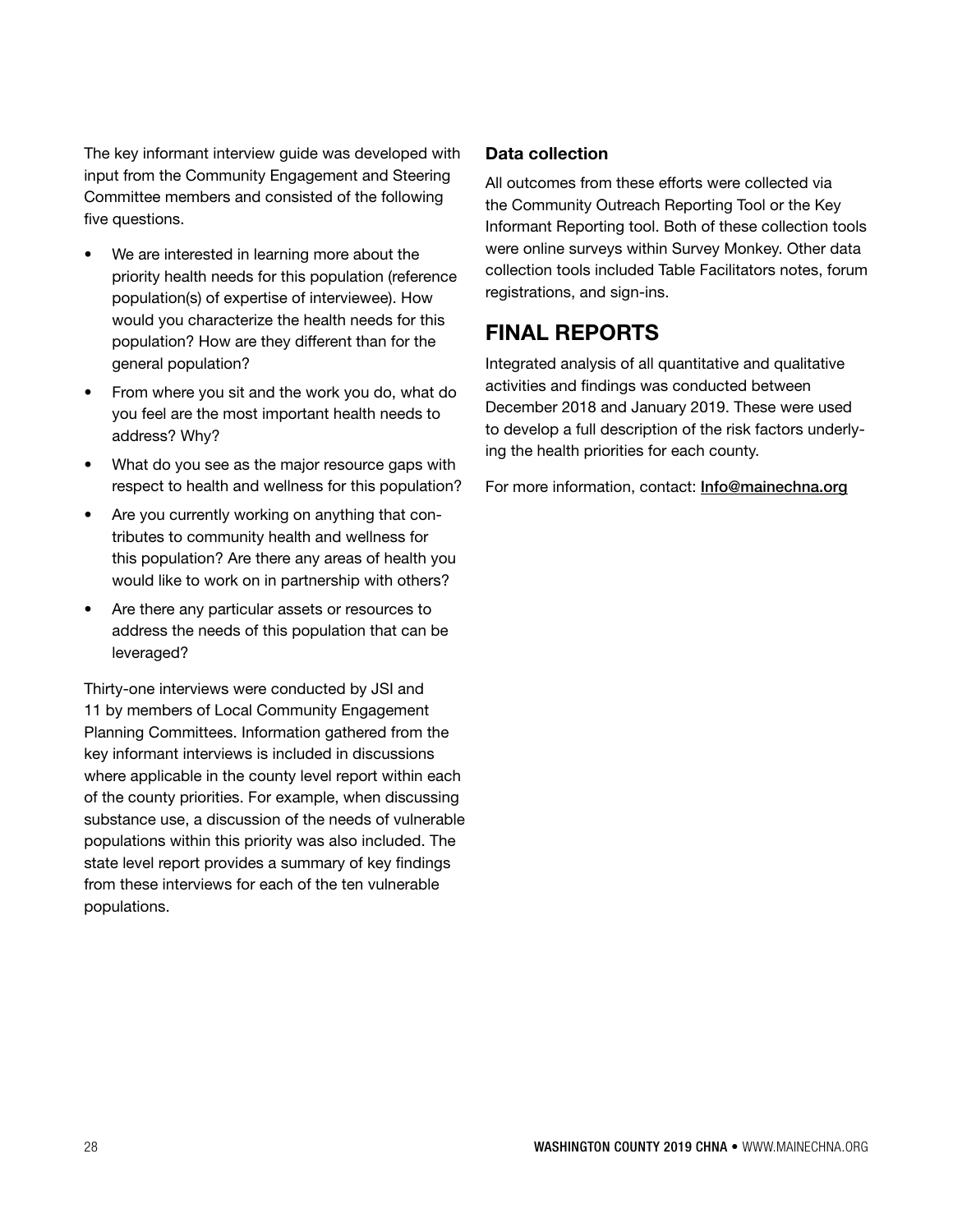The key informant interview guide was developed with input from the Community Engagement and Steering Committee members and consisted of the following five questions.

- We are interested in learning more about the priority health needs for this population (reference population(s) of expertise of interviewee). How would you characterize the health needs for this population? How are they different than for the general population?
- From where you sit and the work you do, what do you feel are the most important health needs to address? Why?
- What do you see as the major resource gaps with respect to health and wellness for this population?
- Are you currently working on anything that contributes to community health and wellness for this population? Are there any areas of health you would like to work on in partnership with others?
- Are there any particular assets or resources to address the needs of this population that can be leveraged?

Thirty-one interviews were conducted by JSI and 11 by members of Local Community Engagement Planning Committees. Information gathered from the key informant interviews is included in discussions where applicable in the county level report within each of the county priorities. For example, when discussing substance use, a discussion of the needs of vulnerable populations within this priority was also included. The state level report provides a summary of key findings from these interviews for each of the ten vulnerable populations.

#### Data collection

All outcomes from these efforts were collected via the Community Outreach Reporting Tool or the Key Informant Reporting tool. Both of these collection tools were online surveys within Survey Monkey. Other data collection tools included Table Facilitators notes, forum registrations, and sign-ins.

### FINAL REPORTS

Integrated analysis of all quantitative and qualitative activities and findings was conducted between December 2018 and January 2019. These were used to develop a full description of the risk factors underlying the health priorities for each county.

For more information, contact: Info@mainechna.org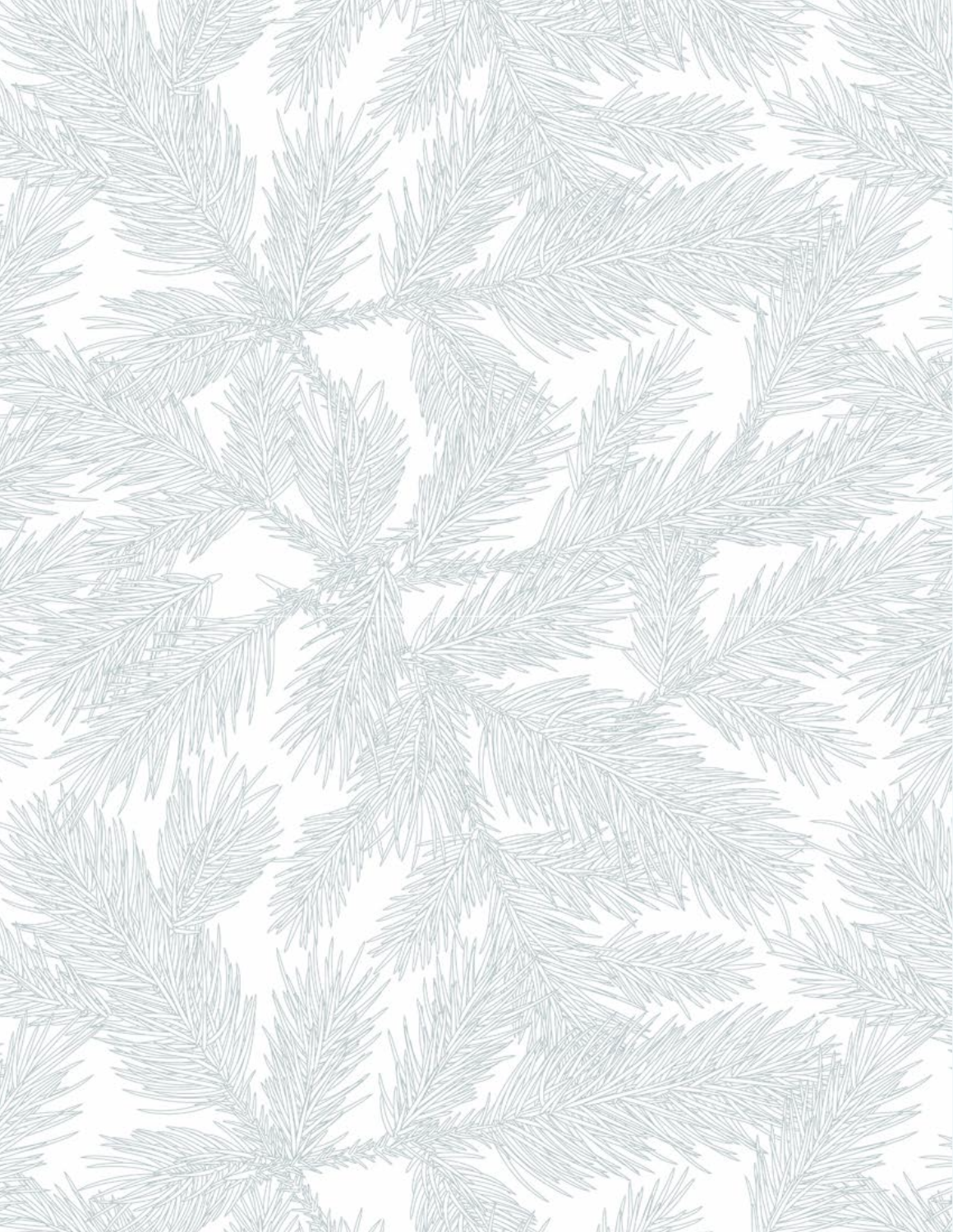